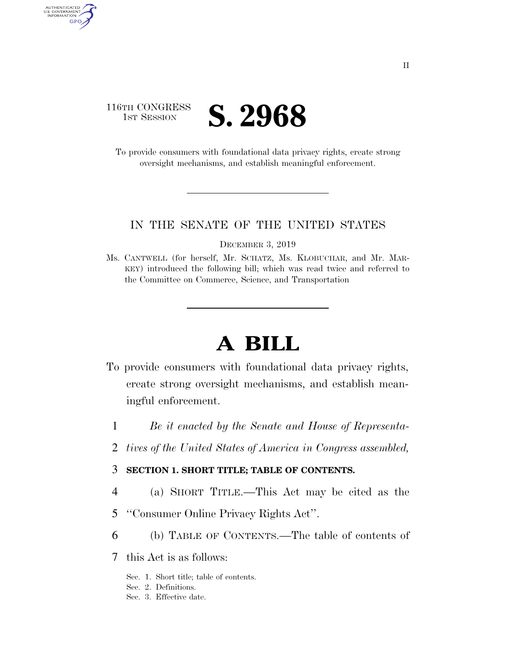# 116TH CONGRESS **IST SESSION S. 2968**

AUTHENTICATED<br>U.S. GOVERNMENT<br>INFORMATION GPO

> To provide consumers with foundational data privacy rights, create strong oversight mechanisms, and establish meaningful enforcement.

#### IN THE SENATE OF THE UNITED STATES

DECEMBER 3, 2019

Ms. CANTWELL (for herself, Mr. SCHATZ, Ms. KLOBUCHAR, and Mr. MAR-KEY) introduced the following bill; which was read twice and referred to the Committee on Commerce, Science, and Transportation

# **A BILL**

- To provide consumers with foundational data privacy rights, create strong oversight mechanisms, and establish meaningful enforcement.
	- 1 *Be it enacted by the Senate and House of Representa-*
	- 2 *tives of the United States of America in Congress assembled,*

# 3 **SECTION 1. SHORT TITLE; TABLE OF CONTENTS.**

- 4 (a) SHORT TITLE.—This Act may be cited as the
- 5 ''Consumer Online Privacy Rights Act''.
- 6 (b) TABLE OF CONTENTS.—The table of contents of
- 7 this Act is as follows:
	- Sec. 1. Short title; table of contents.
	- Sec. 2. Definitions.
	- Sec. 3. Effective date.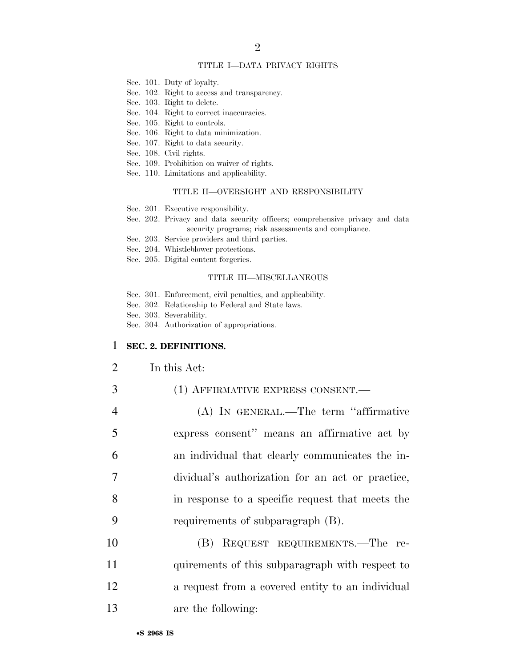#### TITLE I—DATA PRIVACY RIGHTS

- Sec. 101. Duty of loyalty.
- Sec. 102. Right to access and transparency.
- Sec. 103. Right to delete.
- Sec. 104. Right to correct inaccuracies.
- Sec. 105. Right to controls.
- Sec. 106. Right to data minimization.
- Sec. 107. Right to data security.
- Sec. 108. Civil rights.
- Sec. 109. Prohibition on waiver of rights.
- Sec. 110. Limitations and applicability.

#### TITLE II—OVERSIGHT AND RESPONSIBILITY

- Sec. 201. Executive responsibility.
- Sec. 202. Privacy and data security officers; comprehensive privacy and data security programs; risk assessments and compliance.
- Sec. 203. Service providers and third parties.
- Sec. 204. Whistleblower protections.
- Sec. 205. Digital content forgeries.

#### TITLE III—MISCELLANEOUS

- Sec. 301. Enforcement, civil penalties, and applicability.
- Sec. 302. Relationship to Federal and State laws.
- Sec. 303. Severability.
- Sec. 304. Authorization of appropriations.

#### 1 **SEC. 2. DEFINITIONS.**

- 2 In this Act:
- 3 (1) AFFIRMATIVE EXPRESS CONSENT.
- 4 (A) IN GENERAL.—The term ''affirmative 5 express consent'' means an affirmative act by 6 an individual that clearly communicates the in-7 dividual's authorization for an act or practice, 8 in response to a specific request that meets the 9 requirements of subparagraph (B).
- 10 (B) REQUEST REQUIREMENTS.—The re-11 quirements of this subparagraph with respect to 12 **a** request from a covered entity to an individual 13 are the following: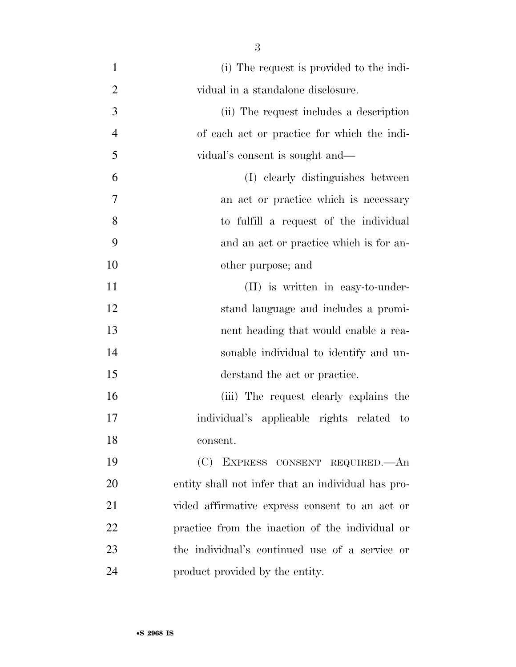(i) The request is provided to the indi- vidual in a standalone disclosure. (ii) The request includes a description of each act or practice for which the indi- vidual's consent is sought and— (I) clearly distinguishes between an act or practice which is necessary to fulfill a request of the individual and an act or practice which is for an- other purpose; and 11 (II) is written in easy-to-under- stand language and includes a promi- nent heading that would enable a rea- sonable individual to identify and un- derstand the act or practice. (iii) The request clearly explains the individual's applicable rights related to consent. (C) EXPRESS CONSENT REQUIRED.—An entity shall not infer that an individual has pro- vided affirmative express consent to an act or practice from the inaction of the individual or the individual's continued use of a service or product provided by the entity.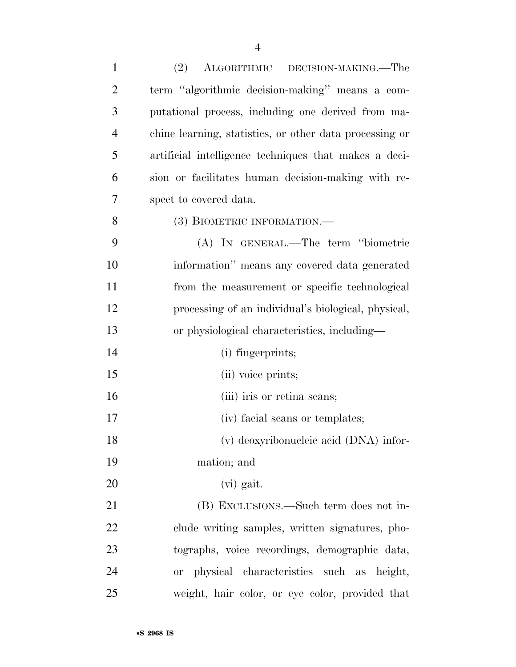| $\mathbf{1}$   | (2)<br>ALGORITHMIC DECISION-MAKING.—The                 |
|----------------|---------------------------------------------------------|
| $\overline{2}$ | term "algorithmic decision-making" means a com-         |
| 3              | putational process, including one derived from ma-      |
| $\overline{4}$ | chine learning, statistics, or other data processing or |
| 5              | artificial intelligence techniques that makes a deci-   |
| 6              | sion or facilitates human decision-making with re-      |
| 7              | spect to covered data.                                  |
| 8              | (3) BIOMETRIC INFORMATION.—                             |
| 9              | (A) IN GENERAL.—The term "biometric                     |
| 10             | information" means any covered data generated           |
| 11             | from the measurement or specific technological          |
| 12             | processing of an individual's biological, physical,     |
| 13             | or physiological characteristics, including—            |
| 14             | (i) fingerprints;                                       |
| 15             | (ii) voice prints;                                      |
| 16             | (iii) iris or retina seans;                             |
| 17             | (iv) facial scans or templates;                         |
| 18             | (v) deoxyribonucleic acid (DNA) infor-                  |
| 19             | mation; and                                             |
| 20             | (vi) gait.                                              |
| 21             | (B) EXCLUSIONS.—Such term does not in-                  |
| 22             | clude writing samples, written signatures, pho-         |
| 23             | tographic data, voice recordings, demographic data,     |
| 24             | or physical characteristics such as height,             |
| 25             | weight, hair color, or eye color, provided that         |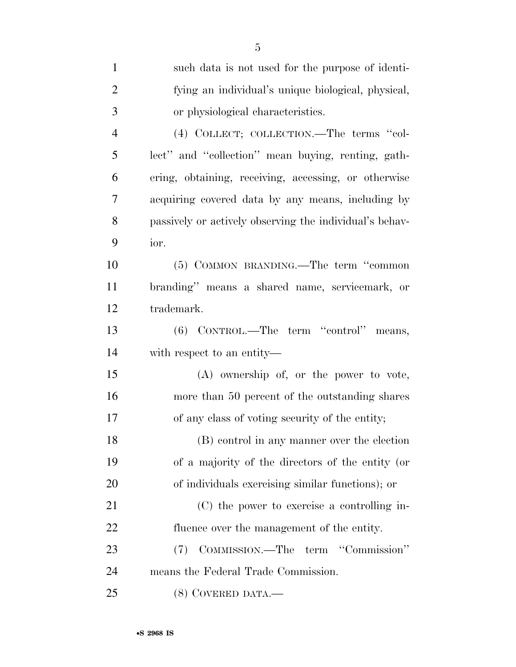| $\mathbf{1}$   | such data is not used for the purpose of identi-        |
|----------------|---------------------------------------------------------|
| $\overline{2}$ | fying an individual's unique biological, physical,      |
| 3              | or physiological characteristics.                       |
| $\overline{4}$ | (4) COLLECT; COLLECTION.—The terms "col-                |
| 5              | lect" and "collection" mean buying, renting, gath-      |
| 6              | ering, obtaining, receiving, accessing, or otherwise    |
| 7              | acquiring covered data by any means, including by       |
| 8              | passively or actively observing the individual's behav- |
| 9              | ior.                                                    |
| 10             | (5) COMMON BRANDING.—The term "common                   |
| 11             | branding" means a shared name, servicemark, or          |
| 12             | trademark.                                              |
| 13             | (6) CONTROL.—The term "control"<br>means,               |
| 14             | with respect to an entity—                              |
| 15             | $(A)$ ownership of, or the power to vote,               |
| 16             | more than 50 percent of the outstanding shares          |
| 17             | of any class of voting security of the entity;          |
| 18             | (B) control in any manner over the election             |
| 19             | of a majority of the directors of the entity (or        |
| 20             | of individuals exercising similar functions); or        |
| 21             | (C) the power to exercise a controlling in-             |
| 22             | fluence over the management of the entity.              |
| 23             | COMMISSION.—The term "Commission"<br>(7)                |
| 24             | means the Federal Trade Commission.                     |
| 25             | $(8)$ COVERED DATA.—                                    |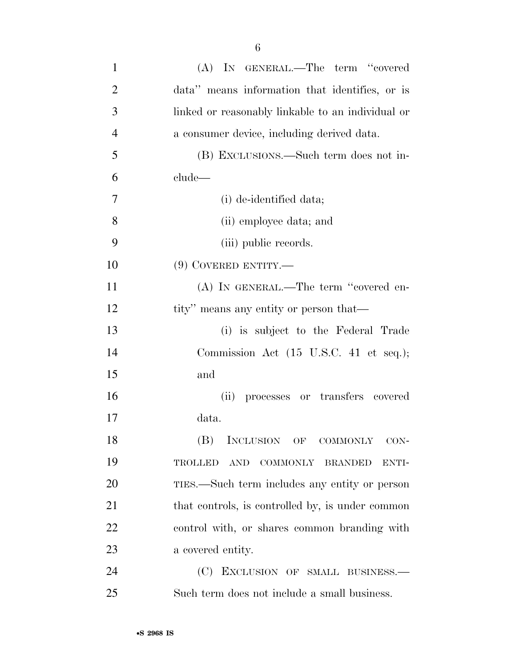| $\mathbf{1}$   | (A) IN GENERAL.—The term "covered                                                    |
|----------------|--------------------------------------------------------------------------------------|
| $\overline{2}$ | data" means information that identifies, or is                                       |
| 3              | linked or reasonably linkable to an individual or                                    |
| $\overline{4}$ | a consumer device, including derived data.                                           |
| 5              | (B) EXCLUSIONS.—Such term does not in-                                               |
| 6              | clude—                                                                               |
| 7              | (i) de-identified data;                                                              |
| 8              | (ii) employee data; and                                                              |
| 9              | (iii) public records.                                                                |
| 10             | $(9)$ COVERED ENTITY.—                                                               |
| 11             | (A) IN GENERAL.—The term "covered en-                                                |
| 12             | tity" means any entity or person that—                                               |
| 13             | (i) is subject to the Federal Trade                                                  |
| 14             | Commission Act $(15 \text{ U.S.C. } 41 \text{ et seq.});$                            |
| 15             | and                                                                                  |
| 16             | processes or transfers covered<br>(ii)                                               |
| 17             | data.                                                                                |
| 18             | (B) INCLUSION OF COMMONLY CON-                                                       |
| 19             | $\operatorname{AND}$<br><b>COMMONLY</b><br><b>TROLLED</b><br><b>BRANDED</b><br>ENTI- |
| 20             | TIES.—Such term includes any entity or person                                        |
| 21             | that controls, is controlled by, is under common                                     |
| 22             | control with, or shares common branding with                                         |
| 23             | a covered entity.                                                                    |
| 24             | (C)<br>EXCLUSION OF SMALL BUSINESS.                                                  |
| 25             | Such term does not include a small business.                                         |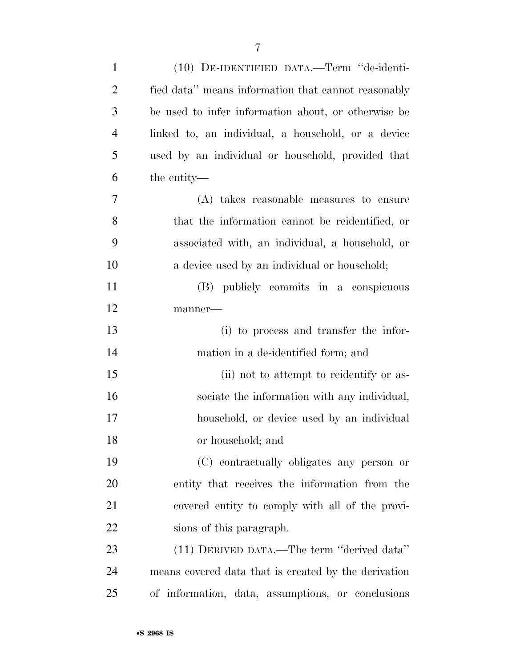| $\mathbf{1}$   | (10) DE-IDENTIFIED DATA.-Term "de-identi-            |
|----------------|------------------------------------------------------|
| $\overline{2}$ | fied data" means information that cannot reasonably  |
| 3              | be used to infer information about, or otherwise be  |
| $\overline{4}$ | linked to, an individual, a household, or a device   |
| 5              | used by an individual or household, provided that    |
| 6              | the entity—                                          |
| 7              | (A) takes reasonable measures to ensure              |
| 8              | that the information cannot be reidentified, or      |
| 9              | associated with, an individual, a household, or      |
| 10             | a device used by an individual or household;         |
| 11             | (B) publicly commits in a conspicuous                |
| 12             | manner-                                              |
| 13             | (i) to process and transfer the infor-               |
| 14             | mation in a de-identified form; and                  |
| 15             | (ii) not to attempt to reidentify or as-             |
| 16             | sociate the information with any individual,         |
| 17             | household, or device used by an individual           |
| 18             | or household; and                                    |
| 19             | (C) contractually obligates any person or            |
| 20             | entity that receives the information from the        |
| 21             | covered entity to comply with all of the provi-      |
| 22             | sions of this paragraph.                             |
| 23             | (11) DERIVED DATA.—The term "derived data"           |
| 24             | means covered data that is created by the derivation |
| 25             | of information, data, assumptions, or conclusions    |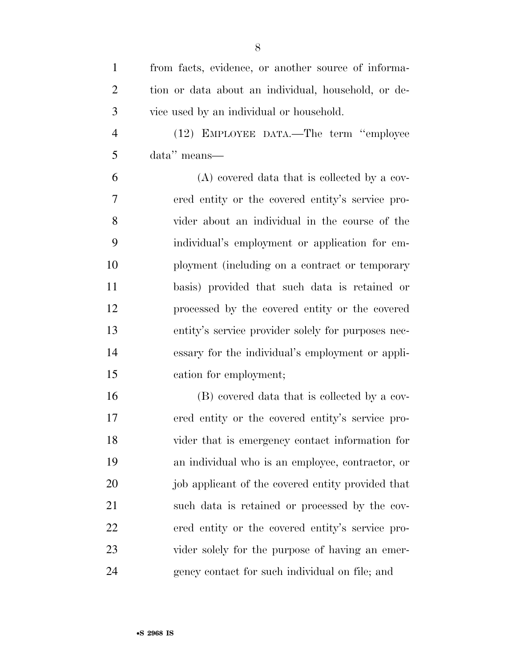| $\mathbf{1}$   | from facts, evidence, or another source of informa- |
|----------------|-----------------------------------------------------|
| $\overline{2}$ | tion or data about an individual, household, or de- |
| 3              | vice used by an individual or household.            |
|                |                                                     |
| $\overline{4}$ | (12) EMPLOYEE DATA.—The term "employee              |
| 5              | data" means—                                        |
| 6              | (A) covered data that is collected by a cov-        |
| 7              | ered entity or the covered entity's service pro-    |
| 8              | vider about an individual in the course of the      |
| 9              | individual's employment or application for em-      |
| 10             | ployment (including on a contract or temporary      |
| 11             | basis) provided that such data is retained or       |
| 12             | processed by the covered entity or the covered      |
| 13             | entity's service provider solely for purposes nec-  |
| 14             | essary for the individual's employment or appli-    |
| 15             | cation for employment;                              |
| 16             | (B) covered data that is collected by a cov-        |
| 17             | ered entity or the covered entity's service pro-    |
| 18             | vider that is emergency contact information for     |
| 19             | an individual who is an employee, contractor, or    |
| 20             | job applicant of the covered entity provided that   |
| 21             | such data is retained or processed by the cov-      |
| 22             | ered entity or the covered entity's service pro-    |
| 23             | vider solely for the purpose of having an emer-     |
| 24             | gency contact for such individual on file; and      |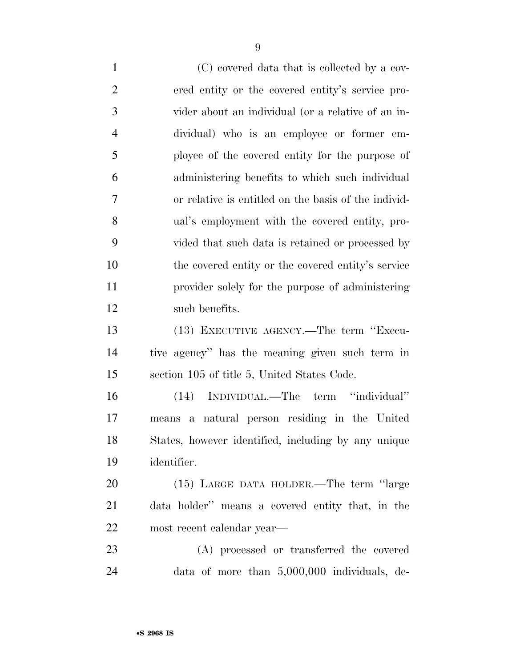(C) covered data that is collected by a cov- ered entity or the covered entity's service pro- vider about an individual (or a relative of an in- dividual) who is an employee or former em- ployee of the covered entity for the purpose of administering benefits to which such individual or relative is entitled on the basis of the individ- ual's employment with the covered entity, pro- vided that such data is retained or processed by the covered entity or the covered entity's service provider solely for the purpose of administering such benefits. (13) EXECUTIVE AGENCY.—The term ''Execu- tive agency'' has the meaning given such term in section 105 of title 5, United States Code. (14) INDIVIDUAL.—The term ''individual'' means a natural person residing in the United States, however identified, including by any unique identifier. (15) LARGE DATA HOLDER.—The term ''large data holder'' means a covered entity that, in the most recent calendar year— (A) processed or transferred the covered data of more than 5,000,000 individuals, de-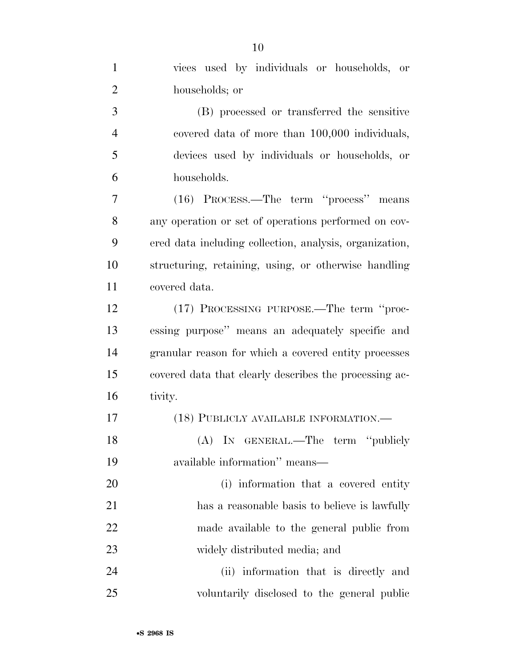| $\mathbf{1}$   | vices used by individuals or households, or             |
|----------------|---------------------------------------------------------|
| $\overline{2}$ | households; or                                          |
| 3              | (B) processed or transferred the sensitive              |
| $\overline{4}$ | covered data of more than 100,000 individuals,          |
| 5              | devices used by individuals or households, or           |
| 6              | households.                                             |
| $\overline{7}$ | (16) PROCESS.—The term "process" means                  |
| 8              | any operation or set of operations performed on cov-    |
| 9              | ered data including collection, analysis, organization, |
| 10             | structuring, retaining, using, or otherwise handling    |
| 11             | covered data.                                           |
| 12             | (17) PROCESSING PURPOSE.—The term "proc-                |
| 13             | essing purpose" means an adequately specific and        |
| 14             | granular reason for which a covered entity processes    |
| 15             | covered data that clearly describes the processing ac-  |
| 16             | tivity.                                                 |
| 17             | (18) PUBLICLY AVAILABLE INFORMATION.—                   |
| 18             | (A) IN GENERAL.—The term "publicly                      |
| 19             | available information" means—                           |
| 20             | (i) information that a covered entity                   |
| 21             | has a reasonable basis to believe is lawfully           |
| 22             | made available to the general public from               |
| 23             | widely distributed media; and                           |
| 24             | (ii) information that is directly and                   |
| 25             | voluntarily disclosed to the general public             |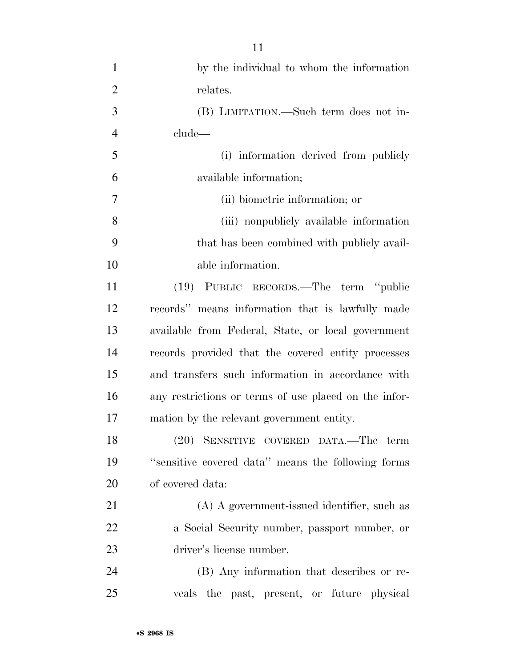| $\mathbf{1}$   | by the individual to whom the information             |
|----------------|-------------------------------------------------------|
| $\overline{2}$ | relates.                                              |
| 3              | (B) LIMITATION.—Such term does not in-                |
| $\overline{4}$ | clude—                                                |
| 5              | (i) information derived from publicly                 |
| 6              | available information;                                |
| 7              | (ii) biometric information; or                        |
| 8              | (iii) nonpublicly available information               |
| 9              | that has been combined with publicly avail-           |
| 10             | able information.                                     |
| 11             | (19) PUBLIC RECORDS.—The term "public                 |
| 12             | records" means information that is lawfully made      |
| 13             | available from Federal, State, or local government    |
| 14             | records provided that the covered entity processes    |
| 15             | and transfers such information in accordance with     |
| 16             | any restrictions or terms of use placed on the infor- |
| 17             | mation by the relevant government entity.             |
| 18             | (20) SENSITIVE COVERED DATA.—The term                 |
| 19             | "sensitive covered data" means the following forms    |
| 20             | of covered data:                                      |
| 21             | (A) A government-issued identifier, such as           |
| 22             | a Social Security number, passport number, or         |
| 23             | driver's license number.                              |
| 24             | (B) Any information that describes or re-             |
| 25             | veals the past, present, or future physical           |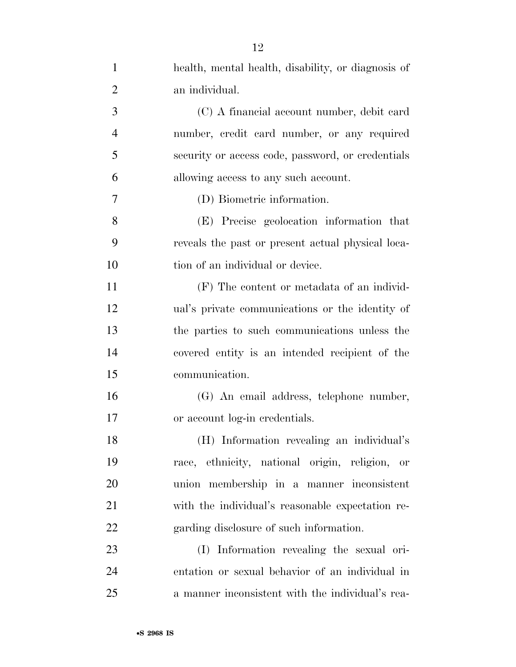| $\mathbf{1}$   | health, mental health, disability, or diagnosis of |
|----------------|----------------------------------------------------|
| $\overline{2}$ | an individual.                                     |
| 3              | (C) A financial account number, debit card         |
| $\overline{4}$ | number, credit card number, or any required        |
| 5              | security or access code, password, or credentials  |
| 6              | allowing access to any such account.               |
| 7              | (D) Biometric information.                         |
| 8              | (E) Precise geolocation information that           |
| 9              | reveals the past or present actual physical loca-  |
| 10             | tion of an individual or device.                   |
| 11             | (F) The content or metadata of an individ-         |
| 12             | ual's private communications or the identity of    |
| 13             | the parties to such communications unless the      |
| 14             | covered entity is an intended recipient of the     |
| 15             | communication.                                     |
| 16             | (G) An email address, telephone number,            |
| 17             | or account log-in credentials.                     |
| 18             | (H) Information revealing an individual's          |
| 19             | race, ethnicity, national origin, religion, or     |
| 20             | union membership in a manner inconsistent          |
| 21             | with the individual's reasonable expectation re-   |
| 22             | garding disclosure of such information.            |
| 23             | (I) Information revealing the sexual ori-          |
| 24             | entation or sexual behavior of an individual in    |
| 25             | a manner inconsistent with the individual's rea-   |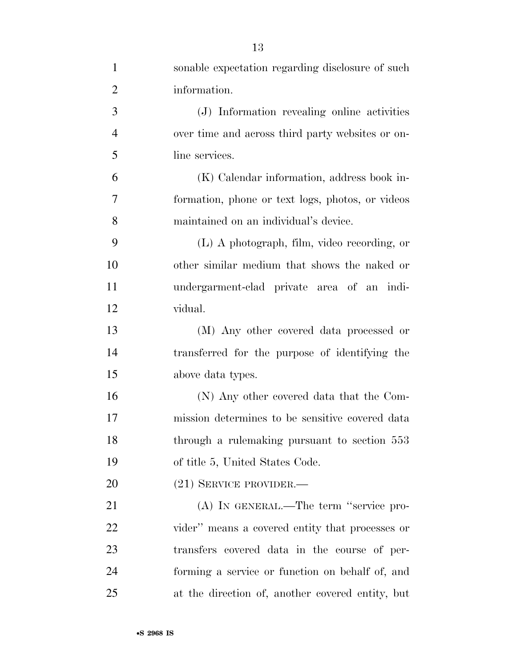| 1              | sonable expectation regarding disclosure of such |
|----------------|--------------------------------------------------|
| $\overline{2}$ | information.                                     |
| 3              | (J) Information revealing online activities      |
| $\overline{4}$ | over time and across third party websites or on- |
| 5              | line services.                                   |
| 6              | (K) Calendar information, address book in-       |
| 7              | formation, phone or text logs, photos, or videos |
| 8              | maintained on an individual's device.            |
| 9              | (L) A photograph, film, video recording, or      |
| 10             | other similar medium that shows the naked or     |
| 11             | undergarment-clad private area of an indi-       |
| 12             | vidual.                                          |
| 13             | (M) Any other covered data processed or          |
| 14             | transferred for the purpose of identifying the   |
| 15             | above data types.                                |
| 16             | (N) Any other covered data that the Com-         |
| 17             | mission determines to be sensitive covered data  |
| 18             | through a rulemaking pursuant to section 553     |
| 19             | of title 5, United States Code.                  |
| 20             | $(21)$ SERVICE PROVIDER.—                        |
| 21             | (A) IN GENERAL.—The term "service pro-           |
| 22             | vider" means a covered entity that processes or  |
| 23             | transfers covered data in the course of per-     |
| 24             | forming a service or function on behalf of, and  |
| 25             | at the direction of, another covered entity, but |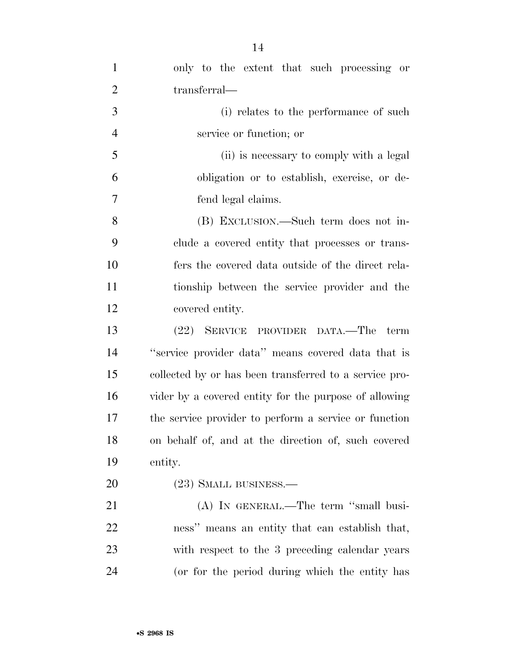| $\mathbf{1}$   | only to the extent that such processing or             |
|----------------|--------------------------------------------------------|
| $\overline{2}$ | transferral—                                           |
| 3              | (i) relates to the performance of such                 |
| $\overline{4}$ | service or function; or                                |
| 5              | (ii) is necessary to comply with a legal               |
| 6              | obligation or to establish, exercise, or de-           |
| $\overline{7}$ | fend legal claims.                                     |
| 8              | (B) EXCLUSION.—Such term does not in-                  |
| 9              | clude a covered entity that processes or trans-        |
| 10             | fers the covered data outside of the direct rela-      |
| 11             | tionship between the service provider and the          |
| 12             | covered entity.                                        |
| 13             | (22) SERVICE PROVIDER DATA.—The term                   |
| 14             | "service provider data" means covered data that is     |
| 15             | collected by or has been transferred to a service pro- |
| 16             | vider by a covered entity for the purpose of allowing  |
| 17             | the service provider to perform a service or function  |
| 18             | on behalf of, and at the direction of, such covered    |
| 19             | entity.                                                |
| 20             | $(23)$ SMALL BUSINESS.—                                |
| 21             | $(A)$ In GENERAL.—The term "small busi-                |
| 22             | ness" means an entity that can establish that,         |
| 23             | with respect to the 3 preceding calendar years         |
| 24             | (or for the period during which the entity has         |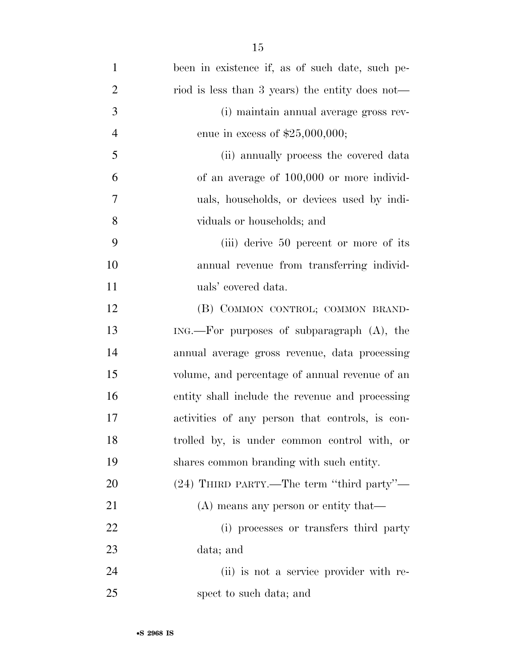| $\mathbf{1}$   | been in existence if, as of such date, such pe- |
|----------------|-------------------------------------------------|
| $\overline{2}$ | riod is less than 3 years) the entity does not— |
| 3              | (i) maintain annual average gross rev-          |
| $\overline{4}$ | enue in excess of $$25,000,000;$                |
| 5              | (ii) annually process the covered data          |
| 6              | of an average of 100,000 or more individ-       |
| 7              | uals, households, or devices used by indi-      |
| 8              | viduals or households; and                      |
| 9              | (iii) derive 50 percent or more of its          |
| 10             | annual revenue from transferring individ-       |
| 11             | uals' covered data.                             |
| 12             | (B) COMMON CONTROL; COMMON BRAND-               |
| 13             |                                                 |
| 14             | annual average gross revenue, data processing   |
| 15             | volume, and percentage of annual revenue of an  |
| 16             | entity shall include the revenue and processing |
| 17             | activities of any person that controls, is con- |
| 18             | trolled by, is under common control with, or    |
| 19             | shares common branding with such entity.        |
| 20             | (24) THIRD PARTY.—The term "third party"—       |
| 21             | (A) means any person or entity that—            |
| 22             | (i) processes or transfers third party          |
| 23             | data; and                                       |
| 24             | (ii) is not a service provider with re-         |
| 25             | spect to such data; and                         |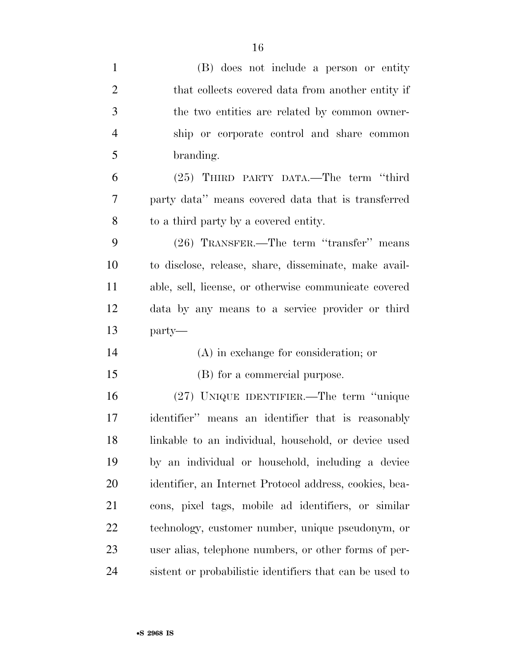| $\mathbf{1}$   | (B) does not include a person or entity                  |
|----------------|----------------------------------------------------------|
| $\overline{2}$ | that collects covered data from another entity if        |
| 3              | the two entities are related by common owner-            |
| $\overline{4}$ | ship or corporate control and share common               |
| 5              | branding.                                                |
| 6              | (25) THIRD PARTY DATA.—The term "third                   |
| 7              | party data" means covered data that is transferred       |
| 8              | to a third party by a covered entity.                    |
| 9              | (26) TRANSFER.—The term "transfer" means                 |
| 10             | to disclose, release, share, disseminate, make avail-    |
| 11             | able, sell, license, or otherwise communicate covered    |
| 12             | data by any means to a service provider or third         |
| 13             | party—                                                   |
| 14             | $(A)$ in exchange for consideration; or                  |
| 15             | (B) for a commercial purpose.                            |
| 16             | (27) UNIQUE IDENTIFIER.—The term "unique                 |
| 17             | identifier" means an identifier that is reasonably       |
| 18             | linkable to an individual, household, or device used     |
| 19             | by an individual or household, including a device        |
| 20             | identifier, an Internet Protocol address, cookies, bea-  |
| 21             | cons, pixel tags, mobile ad identifiers, or similar      |
| 22             | technology, customer number, unique pseudonym, or        |
| 23             | user alias, telephone numbers, or other forms of per-    |
| 24             | sistent or probabilistic identifiers that can be used to |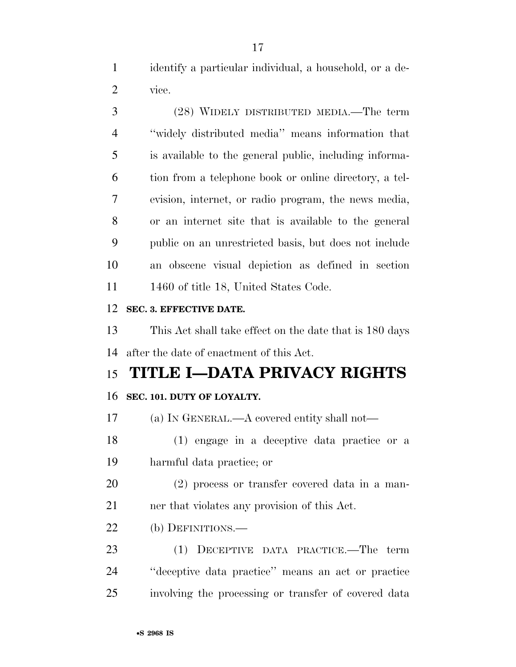identify a particular individual, a household, or a de-vice.

 (28) WIDELY DISTRIBUTED MEDIA.—The term ''widely distributed media'' means information that is available to the general public, including informa- tion from a telephone book or online directory, a tel- evision, internet, or radio program, the news media, or an internet site that is available to the general public on an unrestricted basis, but does not include an obscene visual depiction as defined in section 11 1460 of title 18, United States Code.

# **SEC. 3. EFFECTIVE DATE.**

 This Act shall take effect on the date that is 180 days after the date of enactment of this Act.

# **TITLE I—DATA PRIVACY RIGHTS**

# **SEC. 101. DUTY OF LOYALTY.**

(a) IN GENERAL.—A covered entity shall not—

 (1) engage in a deceptive data practice or a harmful data practice; or

 (2) process or transfer covered data in a man-ner that violates any provision of this Act.

(b) DEFINITIONS.—

 (1) DECEPTIVE DATA PRACTICE.—The term ''deceptive data practice'' means an act or practice involving the processing or transfer of covered data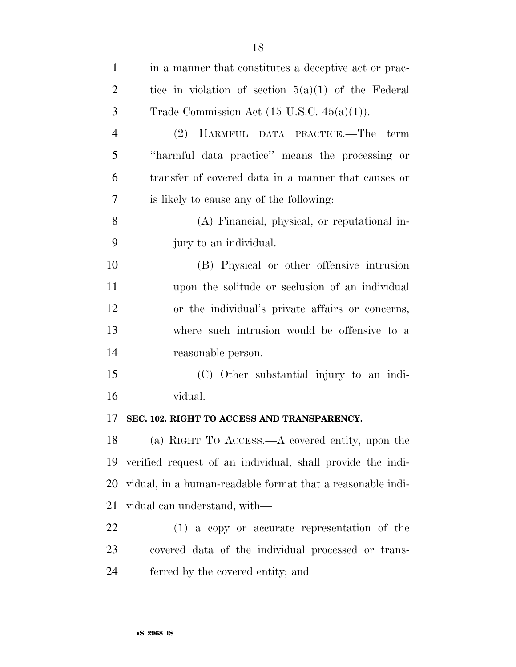| $\mathbf{1}$   | in a manner that constitutes a deceptive act or prac-      |
|----------------|------------------------------------------------------------|
| $\overline{2}$ | tice in violation of section $5(a)(1)$ of the Federal      |
| 3              | Trade Commission Act $(15 \text{ U.S.C. } 45(a)(1)).$      |
| $\overline{4}$ | (2) HARMFUL DATA PRACTICE.—The term                        |
| 5              | "harmful data practice" means the processing or            |
| 6              | transfer of covered data in a manner that causes or        |
| 7              | is likely to cause any of the following:                   |
| 8              | (A) Financial, physical, or reputational in-               |
| 9              | jury to an individual.                                     |
| 10             | (B) Physical or other offensive intrusion                  |
| 11             | upon the solitude or seclusion of an individual            |
| 12             | or the individual's private affairs or concerns,           |
| 13             | where such intrusion would be offensive to a               |
| 14             | reasonable person.                                         |
| 15             | (C) Other substantial injury to an indi-                   |
| 16             | vidual.                                                    |
| 17             | SEC. 102. RIGHT TO ACCESS AND TRANSPARENCY.                |
|                | 18 (a) RIGHT TO ACCESS.—A covered entity, upon the         |
| 19             | verified request of an individual, shall provide the indi- |
| 20             | vidual, in a human-readable format that a reasonable indi- |
| 21             | vidual can understand, with—                               |
| 22             | $(1)$ a copy or accurate representation of the             |
| 23             | covered data of the individual processed or trans-         |
| 24             | ferred by the covered entity; and                          |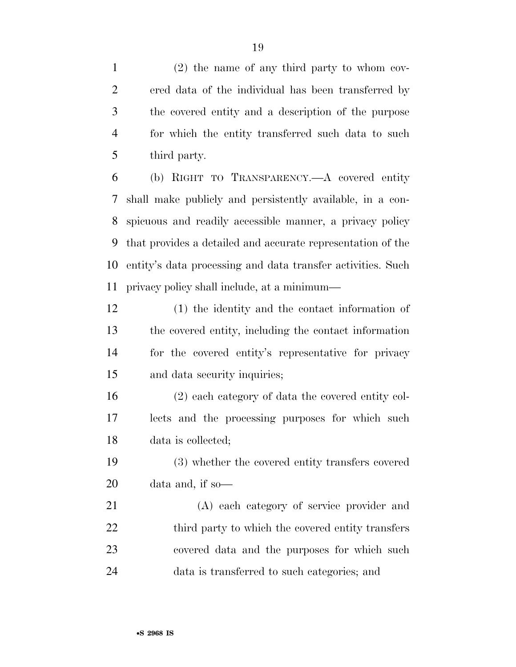(2) the name of any third party to whom cov- ered data of the individual has been transferred by the covered entity and a description of the purpose for which the entity transferred such data to such third party.

 (b) RIGHT TO TRANSPARENCY.—A covered entity shall make publicly and persistently available, in a con- spicuous and readily accessible manner, a privacy policy that provides a detailed and accurate representation of the entity's data processing and data transfer activities. Such privacy policy shall include, at a minimum—

 (1) the identity and the contact information of the covered entity, including the contact information for the covered entity's representative for privacy and data security inquiries;

 (2) each category of data the covered entity col- lects and the processing purposes for which such data is collected;

 (3) whether the covered entity transfers covered data and, if so—

 (A) each category of service provider and 22 third party to which the covered entity transfers covered data and the purposes for which such data is transferred to such categories; and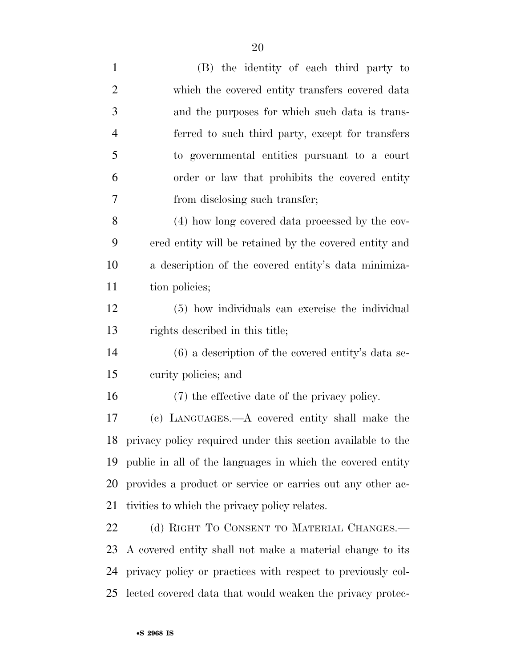| $\mathbf{1}$   | (B) the identity of each third party to                     |
|----------------|-------------------------------------------------------------|
| $\overline{2}$ | which the covered entity transfers covered data             |
| 3              | and the purposes for which such data is trans-              |
| $\overline{4}$ | ferred to such third party, except for transfers            |
| 5              | to governmental entities pursuant to a court                |
| 6              | order or law that prohibits the covered entity              |
| 7              | from disclosing such transfer;                              |
| 8              | (4) how long covered data processed by the cov-             |
| 9              | ered entity will be retained by the covered entity and      |
| 10             | a description of the covered entity's data minimiza-        |
| 11             | tion policies;                                              |
| 12             | (5) how individuals can exercise the individual             |
| 13             | rights described in this title;                             |
| 14             | $(6)$ a description of the covered entity's data se-        |
| 15             | curity policies; and                                        |
| 16             | (7) the effective date of the privacy policy.               |
| 17             | (c) LANGUAGES.—A covered entity shall make the              |
| 18             | privacy policy required under this section available to the |
| 19             | public in all of the languages in which the covered entity  |
| 20             | provides a product or service or carries out any other ac-  |
| 21             | tivities to which the privacy policy relates.               |
| 22             | (d) RIGHT TO CONSENT TO MATERIAL CHANGES.—                  |
| 23             | A covered entity shall not make a material change to its    |
| 24             | privacy policy or practices with respect to previously col- |
| 25             | lected covered data that would weaken the privacy protec-   |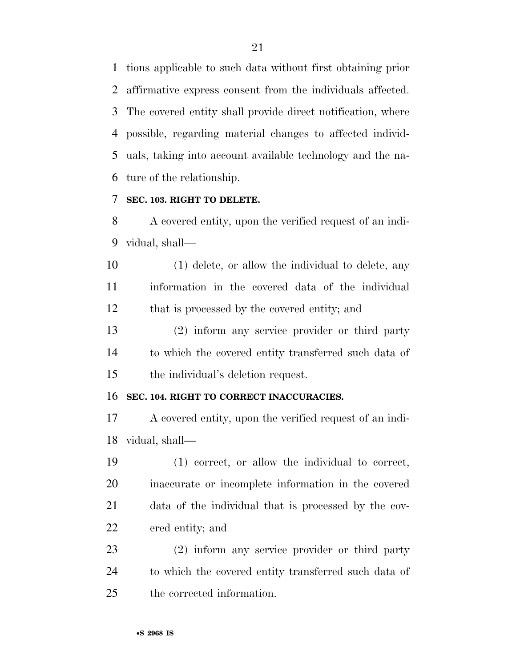tions applicable to such data without first obtaining prior affirmative express consent from the individuals affected. The covered entity shall provide direct notification, where possible, regarding material changes to affected individ- uals, taking into account available technology and the na-ture of the relationship.

# **SEC. 103. RIGHT TO DELETE.**

 A covered entity, upon the verified request of an indi-vidual, shall—

 (1) delete, or allow the individual to delete, any information in the covered data of the individual that is processed by the covered entity; and

 (2) inform any service provider or third party to which the covered entity transferred such data of the individual's deletion request.

#### **SEC. 104. RIGHT TO CORRECT INACCURACIES.**

 A covered entity, upon the verified request of an indi-vidual, shall—

 (1) correct, or allow the individual to correct, inaccurate or incomplete information in the covered data of the individual that is processed by the cov-ered entity; and

 (2) inform any service provider or third party to which the covered entity transferred such data of the corrected information.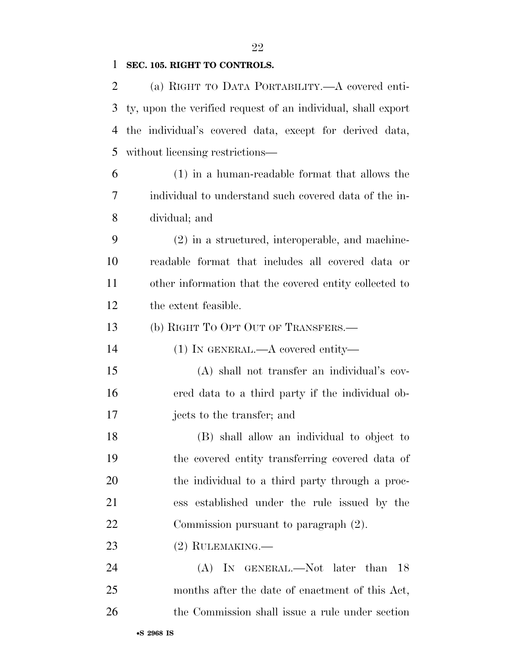# 

# **SEC. 105. RIGHT TO CONTROLS.**

| 2  | (a) RIGHT TO DATA PORTABILITY.—A covered enti-               |
|----|--------------------------------------------------------------|
| 3  | ty, upon the verified request of an individual, shall export |
| 4  | the individual's covered data, except for derived data,      |
| 5  | without licensing restrictions—                              |
| 6  | $(1)$ in a human-readable format that allows the             |
| 7  | individual to understand such covered data of the in-        |
| 8  | dividual; and                                                |
| 9  | $(2)$ in a structured, interoperable, and machine-           |
| 10 | readable format that includes all covered data or            |
| 11 | other information that the covered entity collected to       |
| 12 | the extent feasible.                                         |
| 13 | (b) RIGHT TO OPT OUT OF TRANSFERS.—                          |
| 14 | $(1)$ In GENERAL.—A covered entity—                          |
| 15 | (A) shall not transfer an individual's cov-                  |
| 16 | ered data to a third party if the individual ob-             |
| 17 | jects to the transfer; and                                   |
| 18 | (B) shall allow an individual to object to                   |
| 19 | the covered entity transferring covered data of              |
| 20 | the individual to a third party through a proc-              |
| 21 | ess established under the rule issued by the                 |
| 22 | Commission pursuant to paragraph (2).                        |
| 23 | $(2)$ RULEMAKING.—                                           |
| 24 | (A) IN GENERAL.—Not later than<br>18                         |
| 25 | months after the date of enactment of this Act,              |
| 26 | the Commission shall issue a rule under section              |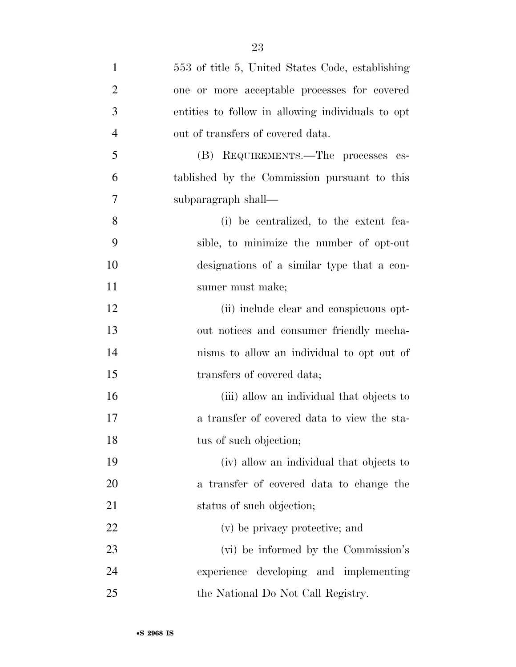| $\mathbf{1}$   | 553 of title 5, United States Code, establishing  |
|----------------|---------------------------------------------------|
| $\overline{2}$ | one or more acceptable processes for covered      |
| 3              | entities to follow in allowing individuals to opt |
| $\overline{4}$ | out of transfers of covered data.                 |
| 5              | (B) REQUIREMENTS.—The processes es-               |
| 6              | tablished by the Commission pursuant to this      |
| 7              | subparagraph shall—                               |
| 8              | (i) be centralized, to the extent fea-            |
| 9              | sible, to minimize the number of opt-out          |
| 10             | designations of a similar type that a con-        |
| 11             | sumer must make;                                  |
| 12             | (ii) include clear and conspicuous opt-           |
| 13             | out notices and consumer friendly mecha-          |
| 14             | nisms to allow an individual to opt out of        |
| 15             | transfers of covered data;                        |
| 16             | (iii) allow an individual that objects to         |
| 17             | a transfer of covered data to view the sta-       |
| 18             | tus of such objection;                            |
| 19             | (iv) allow an individual that objects to          |
| 20             | a transfer of covered data to change the          |
| 21             | status of such objection;                         |
| 22             | (v) be privacy protective; and                    |
| 23             | (vi) be informed by the Commission's              |
| 24             | experience developing and implementing            |
| 25             | the National Do Not Call Registry.                |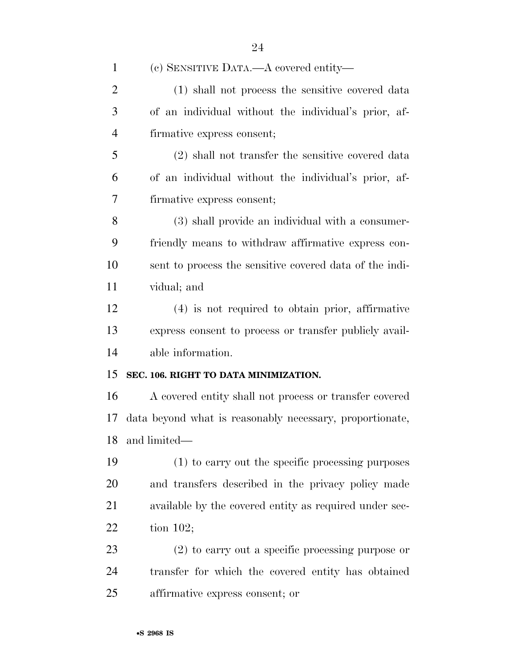| $\mathbf{1}$   | (c) SENSITIVE DATA.—A covered entity—                    |
|----------------|----------------------------------------------------------|
| $\overline{2}$ | (1) shall not process the sensitive covered data         |
| 3              | of an individual without the individual's prior, af-     |
| $\overline{4}$ | firmative express consent;                               |
| 5              | (2) shall not transfer the sensitive covered data        |
| 6              | of an individual without the individual's prior, af-     |
| 7              | firmative express consent;                               |
| 8              | (3) shall provide an individual with a consumer-         |
| 9              | friendly means to withdraw affirmative express con-      |
| 10             | sent to process the sensitive covered data of the indi-  |
| 11             | vidual; and                                              |
| 12             | $(4)$ is not required to obtain prior, affirmative       |
| 13             | express consent to process or transfer publicly avail-   |
| 14             | able information.                                        |
| 15             | SEC. 106. RIGHT TO DATA MINIMIZATION.                    |
| 16             | A covered entity shall not process or transfer covered   |
| 17             | data beyond what is reasonably necessary, proportionate, |
| 18             | and limited—                                             |
| 19             | (1) to carry out the specific processing purposes        |
| 20             | and transfers described in the privacy policy made       |
| 21             | available by the covered entity as required under sec-   |
| 22             | tion $102$ ;                                             |
| 23             | $(2)$ to carry out a specific processing purpose or      |
| 24             | transfer for which the covered entity has obtained       |
| 25             | affirmative express consent; or                          |
|                |                                                          |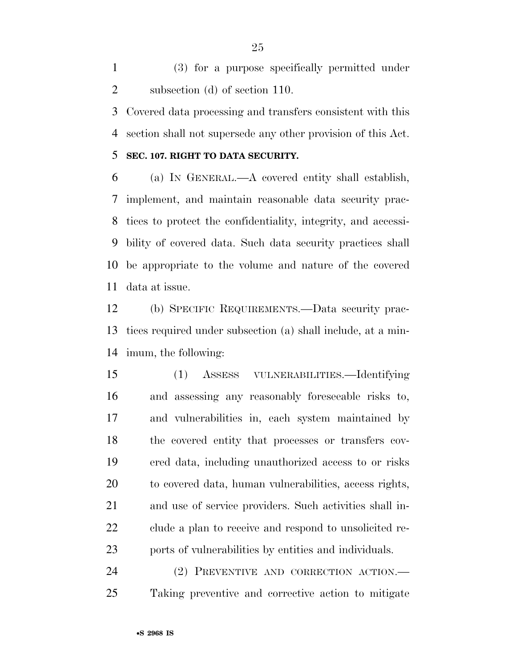(3) for a purpose specifically permitted under subsection (d) of section 110.

 Covered data processing and transfers consistent with this section shall not supersede any other provision of this Act.

# **SEC. 107. RIGHT TO DATA SECURITY.**

 (a) IN GENERAL.—A covered entity shall establish, implement, and maintain reasonable data security prac- tices to protect the confidentiality, integrity, and accessi- bility of covered data. Such data security practices shall be appropriate to the volume and nature of the covered data at issue.

 (b) SPECIFIC REQUIREMENTS.—Data security prac- tices required under subsection (a) shall include, at a min-imum, the following:

 (1) ASSESS VULNERABILITIES.—Identifying and assessing any reasonably foreseeable risks to, and vulnerabilities in, each system maintained by the covered entity that processes or transfers cov- ered data, including unauthorized access to or risks to covered data, human vulnerabilities, access rights, and use of service providers. Such activities shall in- clude a plan to receive and respond to unsolicited re-ports of vulnerabilities by entities and individuals.

 (2) PREVENTIVE AND CORRECTION ACTION.— Taking preventive and corrective action to mitigate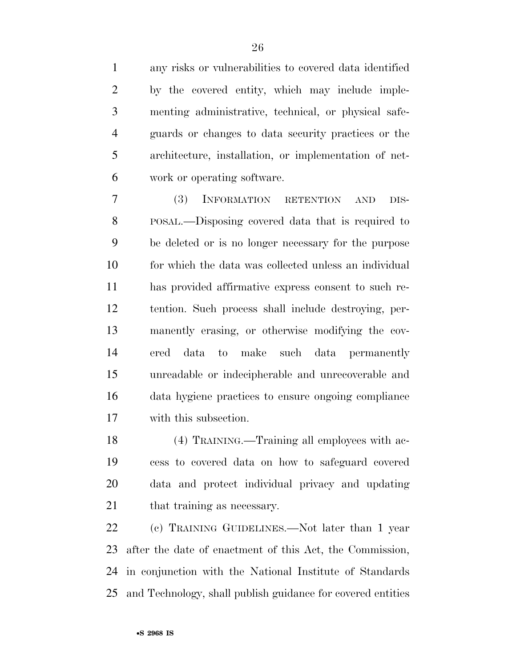any risks or vulnerabilities to covered data identified by the covered entity, which may include imple- menting administrative, technical, or physical safe- guards or changes to data security practices or the architecture, installation, or implementation of net-work or operating software.

 (3) INFORMATION RETENTION AND DIS- POSAL.—Disposing covered data that is required to be deleted or is no longer necessary for the purpose for which the data was collected unless an individual has provided affirmative express consent to such re- tention. Such process shall include destroying, per- manently erasing, or otherwise modifying the cov- ered data to make such data permanently unreadable or indecipherable and unrecoverable and data hygiene practices to ensure ongoing compliance with this subsection.

 (4) TRAINING.—Training all employees with ac- cess to covered data on how to safeguard covered data and protect individual privacy and updating 21 that training as necessary.

 (c) TRAINING GUIDELINES.—Not later than 1 year after the date of enactment of this Act, the Commission, in conjunction with the National Institute of Standards and Technology, shall publish guidance for covered entities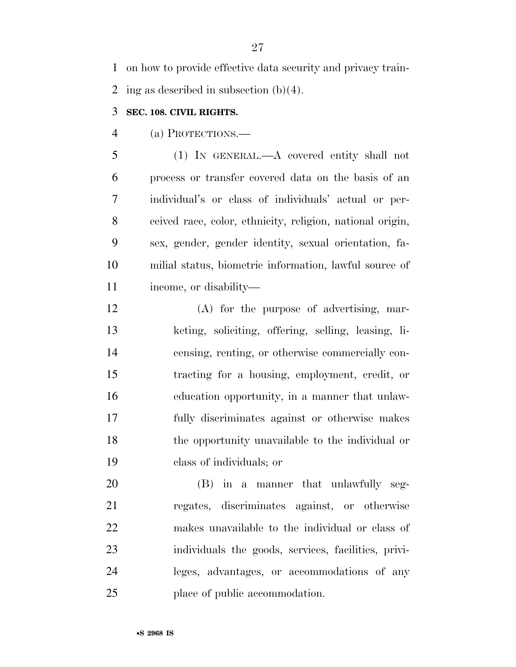on how to provide effective data security and privacy train-2 ing as described in subsection  $(b)(4)$ .

# **SEC. 108. CIVIL RIGHTS.**

(a) PROTECTIONS.—

 (1) IN GENERAL.—A covered entity shall not process or transfer covered data on the basis of an individual's or class of individuals' actual or per- ceived race, color, ethnicity, religion, national origin, sex, gender, gender identity, sexual orientation, fa- milial status, biometric information, lawful source of income, or disability—

 (A) for the purpose of advertising, mar- keting, soliciting, offering, selling, leasing, li- censing, renting, or otherwise commercially con- tracting for a housing, employment, credit, or education opportunity, in a manner that unlaw- fully discriminates against or otherwise makes the opportunity unavailable to the individual or class of individuals; or

 (B) in a manner that unlawfully seg- regates, discriminates against, or otherwise makes unavailable to the individual or class of individuals the goods, services, facilities, privi- leges, advantages, or accommodations of any place of public accommodation.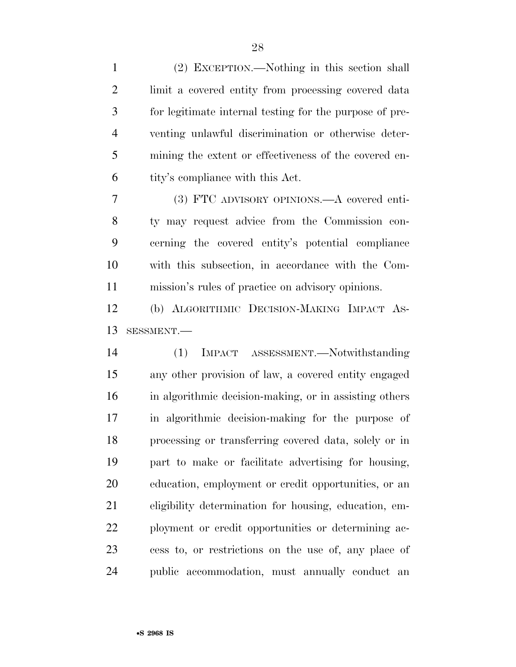| $\mathbf{1}$                     | (2) EXCEPTION.—Nothing in this section shall            |
|----------------------------------|---------------------------------------------------------|
| $\overline{2}$                   | limit a covered entity from processing covered data     |
| 3                                | for legitimate internal testing for the purpose of pre- |
| $\overline{4}$                   | venting unlawful discrimination or otherwise deter-     |
| 5                                | mining the extent or effectiveness of the covered en-   |
| 6                                | tity's compliance with this Act.                        |
| $\overline{7}$                   | (3) FTC ADVISORY OPINIONS.—A covered enti-              |
| 8                                | ty may request advice from the Commission con-          |
| 9                                | cerning the covered entity's potential compliance       |
| 10                               | with this subsection, in accordance with the Com-       |
| 11                               | mission's rules of practice on advisory opinions.       |
| 12                               | (b) ALGORITHMIC DECISION-MAKING IMPACT AS-              |
|                                  |                                                         |
|                                  | SESSMENT.-                                              |
|                                  | IMPACT ASSESSMENT.—Notwithstanding<br>(1)               |
|                                  | any other provision of law, a covered entity engaged    |
|                                  | in algorithmic decision-making, or in assisting others  |
|                                  | in algorithmic decision-making for the purpose of       |
| 13<br>14<br>15<br>16<br>17<br>18 | processing or transferring covered data, solely or in   |
| 19                               | part to make or facilitate advertising for housing,     |
| 20                               | education, employment or credit opportunities, or an    |
| 21                               | eligibility determination for housing, education, em-   |
| 22                               | ployment or credit opportunities or determining ac-     |
| 23                               | cess to, or restrictions on the use of, any place of    |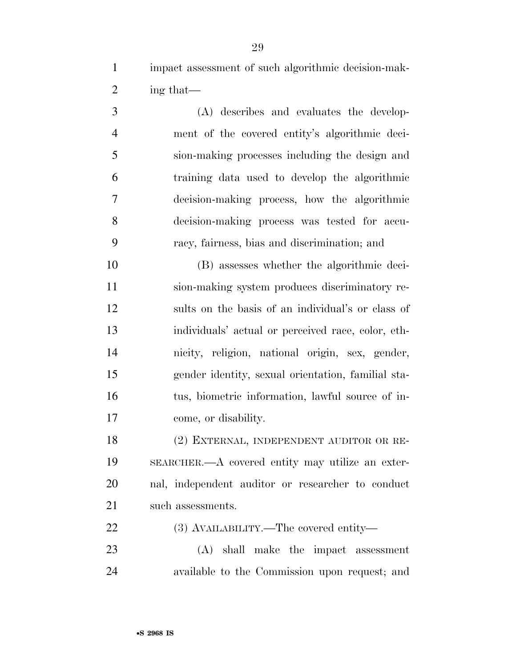impact assessment of such algorithmic decision-mak-ing that—

 (A) describes and evaluates the develop- ment of the covered entity's algorithmic deci- sion-making processes including the design and training data used to develop the algorithmic decision-making process, how the algorithmic decision-making process was tested for accu-racy, fairness, bias and discrimination; and

 (B) assesses whether the algorithmic deci- sion-making system produces discriminatory re- sults on the basis of an individual's or class of individuals' actual or perceived race, color, eth- nicity, religion, national origin, sex, gender, gender identity, sexual orientation, familial sta- tus, biometric information, lawful source of in-come, or disability.

 (2) EXTERNAL, INDEPENDENT AUDITOR OR RE- SEARCHER.—A covered entity may utilize an exter- nal, independent auditor or researcher to conduct 21 such assessments.

(3) AVAILABILITY.—The covered entity—

 (A) shall make the impact assessment available to the Commission upon request; and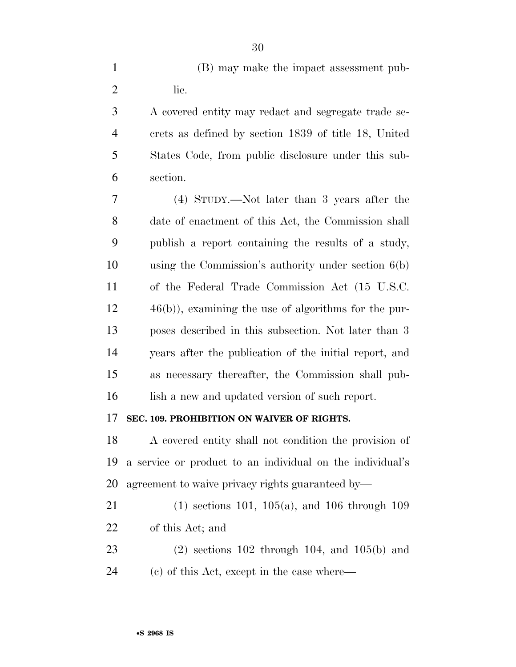|      |  |  | (B) may make the impact assessment pub- |  |
|------|--|--|-----------------------------------------|--|
| Tie. |  |  |                                         |  |

 A covered entity may redact and segregate trade se- crets as defined by section 1839 of title 18, United States Code, from public disclosure under this sub-section.

 (4) STUDY.—Not later than 3 years after the date of enactment of this Act, the Commission shall publish a report containing the results of a study, using the Commission's authority under section 6(b) of the Federal Trade Commission Act (15 U.S.C. 46(b)), examining the use of algorithms for the pur- poses described in this subsection. Not later than 3 years after the publication of the initial report, and as necessary thereafter, the Commission shall pub-16 lish a new and updated version of such report.

# **SEC. 109. PROHIBITION ON WAIVER OF RIGHTS.**

 A covered entity shall not condition the provision of a service or product to an individual on the individual's agreement to waive privacy rights guaranteed by—

 (1) sections 101, 105(a), and 106 through 109 of this Act; and

 (2) sections 102 through 104, and 105(b) and (c) of this Act, except in the case where—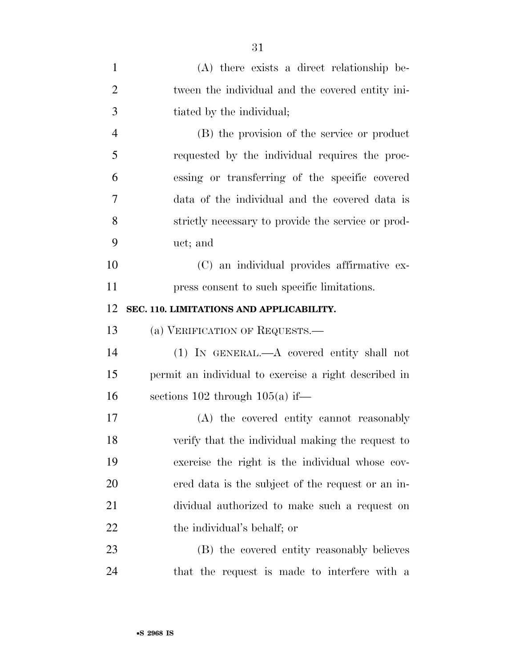| $\mathbf{1}$   | $(A)$ there exists a direct relationship be-          |
|----------------|-------------------------------------------------------|
| $\overline{2}$ | tween the individual and the covered entity ini-      |
| 3              | tiated by the individual;                             |
| $\overline{4}$ | (B) the provision of the service or product           |
| 5              | requested by the individual requires the proc-        |
| 6              | essing or transferring of the specific covered        |
| 7              | data of the individual and the covered data is        |
| 8              | strictly necessary to provide the service or prod-    |
| 9              | uct; and                                              |
| 10             | (C) an individual provides affirmative ex-            |
| 11             | press consent to such specific limitations.           |
| 12             | SEC. 110. LIMITATIONS AND APPLICABILITY.              |
| 13             | (a) VERIFICATION OF REQUESTS.                         |
| 14             | $(1)$ IN GENERAL.—A covered entity shall not          |
| 15             | permit an individual to exercise a right described in |
| 16             | sections $102$ through $105(a)$ if—                   |
| 17             | (A) the covered entity cannot reasonably              |
| 18             | verify that the individual making the request to      |
| 19             | exercise the right is the individual whose cov-       |
| 20             | ered data is the subject of the request or an in-     |
| 21             | dividual authorized to make such a request on         |
| 22             | the individual's behalf; or                           |
| 23             |                                                       |
|                | (B) the covered entity reasonably believes            |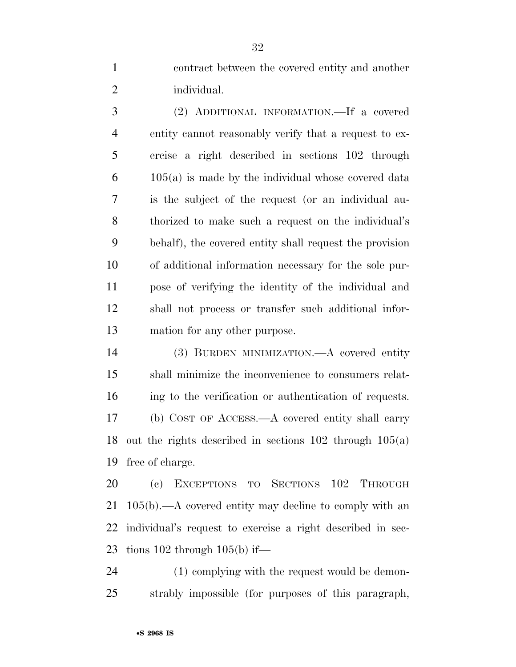contract between the covered entity and another individual.

 (2) ADDITIONAL INFORMATION.—If a covered entity cannot reasonably verify that a request to ex- ercise a right described in sections 102 through  $6 \qquad 105(a)$  is made by the individual whose covered data is the subject of the request (or an individual au- thorized to make such a request on the individual's behalf), the covered entity shall request the provision of additional information necessary for the sole pur- pose of verifying the identity of the individual and shall not process or transfer such additional infor-mation for any other purpose.

 (3) BURDEN MINIMIZATION.—A covered entity shall minimize the inconvenience to consumers relat- ing to the verification or authentication of requests. (b) COST OF ACCESS.—A covered entity shall carry out the rights described in sections 102 through 105(a) free of charge.

 (c) EXCEPTIONS TO SECTIONS 102 THROUGH 105(b).—A covered entity may decline to comply with an individual's request to exercise a right described in sec-23 tions through  $105(b)$  if—

 (1) complying with the request would be demon-strably impossible (for purposes of this paragraph,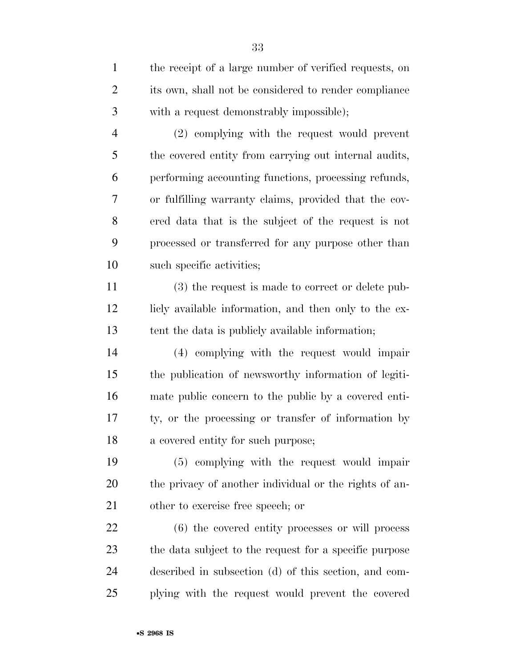| $\mathbf{1}$   | the receipt of a large number of verified requests, on |
|----------------|--------------------------------------------------------|
| $\overline{2}$ | its own, shall not be considered to render compliance  |
| 3              | with a request demonstrably impossible);               |
| $\overline{4}$ | (2) complying with the request would prevent           |
| 5              | the covered entity from carrying out internal audits,  |
| 6              | performing accounting functions, processing refunds,   |
| 7              | or fulfilling warranty claims, provided that the cov-  |
| 8              | ered data that is the subject of the request is not    |
| 9              | processed or transferred for any purpose other than    |
| 10             | such specific activities;                              |
| 11             | (3) the request is made to correct or delete pub-      |
| 12             | licly available information, and then only to the ex-  |
| 13             | tent the data is publicly available information;       |
| 14             | (4) complying with the request would impair            |
| 15             | the publication of newsworthy information of legiti-   |
| 16             | mate public concern to the public by a covered enti-   |
| 17             | ty, or the processing or transfer of information by    |
| 18             | a covered entity for such purpose;                     |
| 19             | (5) complying with the request would impair            |
| 20             | the privacy of another individual or the rights of an- |
| 21             | other to exercise free speech; or                      |
| 22             | (6) the covered entity processes or will process       |
| 23             | the data subject to the request for a specific purpose |
| 24             | described in subsection (d) of this section, and com-  |
| 25             | plying with the request would prevent the covered      |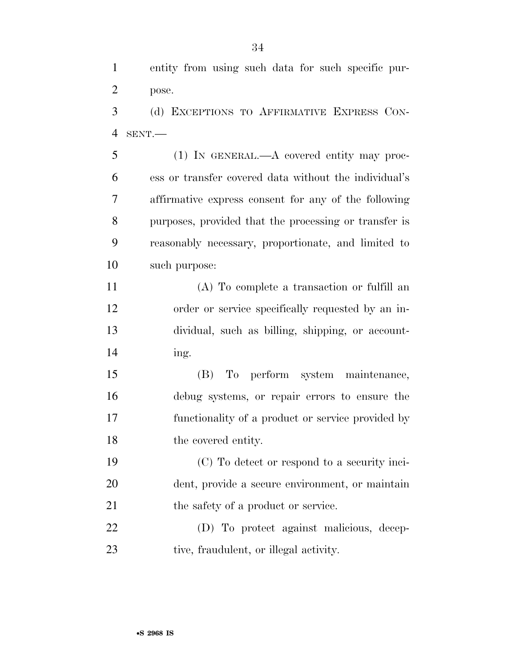entity from using such data for such specific pur-pose.

 (d) EXCEPTIONS TO AFFIRMATIVE EXPRESS CON-SENT.—

 (1) IN GENERAL.—A covered entity may proc- ess or transfer covered data without the individual's affirmative express consent for any of the following purposes, provided that the processing or transfer is reasonably necessary, proportionate, and limited to such purpose:

 (A) To complete a transaction or fulfill an order or service specifically requested by an in- dividual, such as billing, shipping, or account-ing.

 (B) To perform system maintenance, debug systems, or repair errors to ensure the functionality of a product or service provided by 18 the covered entity.

 (C) To detect or respond to a security inci- dent, provide a secure environment, or maintain 21 the safety of a product or service.

 (D) To protect against malicious, decep-23 tive, fraudulent, or illegal activity.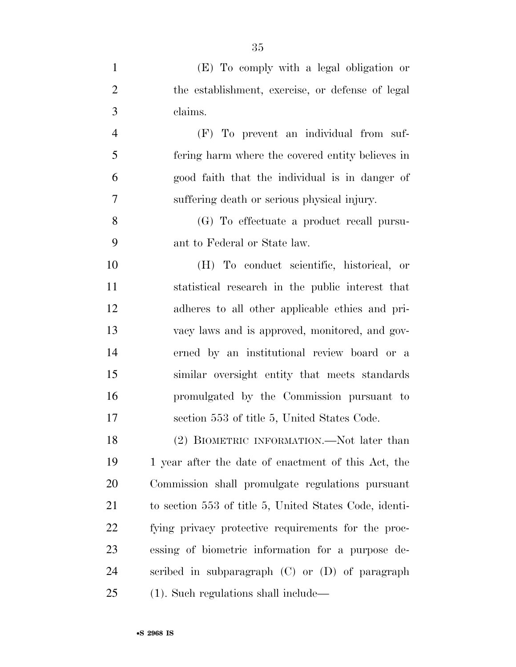| $\mathbf{1}$   | (E) To comply with a legal obligation or               |
|----------------|--------------------------------------------------------|
| $\overline{2}$ | the establishment, exercise, or defense of legal       |
| 3              | claims.                                                |
| $\overline{4}$ | (F) To prevent an individual from suf-                 |
| 5              | fering harm where the covered entity believes in       |
| 6              | good faith that the individual is in danger of         |
| 7              | suffering death or serious physical injury.            |
| 8              | (G) To effectuate a product recall pursu-              |
| 9              | ant to Federal or State law.                           |
| 10             | (H) To conduct scientific, historical, or              |
| 11             | statistical research in the public interest that       |
| 12             | adheres to all other applicable ethics and pri-        |
| 13             | vacy laws and is approved, monitored, and gov-         |
| 14             | erned by an institutional review board or a            |
| 15             | similar oversight entity that meets standards          |
| 16             | promulgated by the Commission pursuant to              |
| 17             | section 553 of title 5, United States Code.            |
| 18             | (2) BIOMETRIC INFORMATION.—Not later than              |
| 19             | 1 year after the date of enactment of this Act, the    |
| 20             | Commission shall promulgate regulations pursuant       |
| 21             | to section 553 of title 5, United States Code, identi- |
| 22             | fying privacy protective requirements for the proc-    |
| 23             | essing of biometric information for a purpose de-      |
| 24             | scribed in subparagraph (C) or (D) of paragraph        |
| 25             | $(1)$ . Such regulations shall include—                |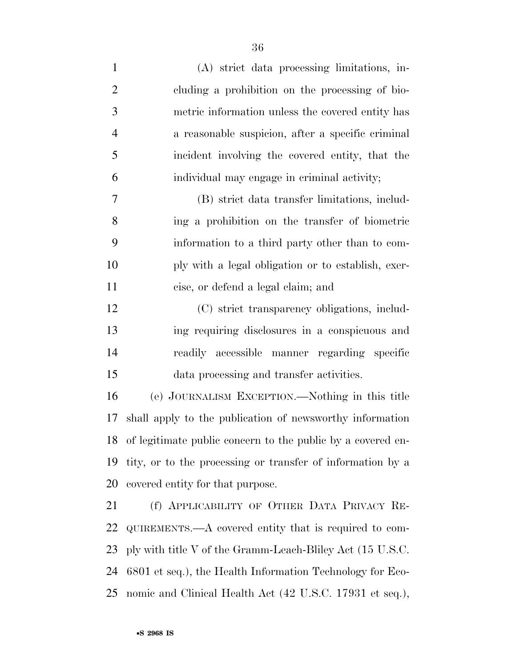| $\mathbf{1}$   | (A) strict data processing limitations, in-                    |
|----------------|----------------------------------------------------------------|
| $\overline{2}$ | cluding a prohibition on the processing of bio-                |
| 3              | metric information unless the covered entity has               |
| $\overline{4}$ | a reasonable suspicion, after a specific criminal              |
| 5              | incident involving the covered entity, that the                |
| 6              | individual may engage in criminal activity;                    |
| 7              | (B) strict data transfer limitations, includ-                  |
| 8              | ing a prohibition on the transfer of biometric                 |
| 9              | information to a third party other than to com-                |
| 10             | ply with a legal obligation or to establish, exer-             |
| 11             | cise, or defend a legal claim; and                             |
| 12             | (C) strict transparency obligations, includ-                   |
| 13             | ing requiring disclosures in a conspicuous and                 |
| 14             | readily accessible manner regarding specific                   |
| 15             | data processing and transfer activities.                       |
| 16             | (e) JOURNALISM EXCEPTION.—Nothing in this title                |
| 17             | shall apply to the publication of newsworthy information       |
|                | 18 of legitimate public concern to the public by a covered en- |
| 19             | tity, or to the processing or transfer of information by a     |
| 20             | covered entity for that purpose.                               |
| 21             | (f) APPLICABILITY OF OTHER DATA PRIVACY RE-                    |
| 22             | QUIREMENTS.—A covered entity that is required to com-          |
| 23             | ply with title V of the Gramm-Leach-Bliley Act (15 U.S.C.      |

 6801 et seq.), the Health Information Technology for Eco-nomic and Clinical Health Act (42 U.S.C. 17931 et seq.),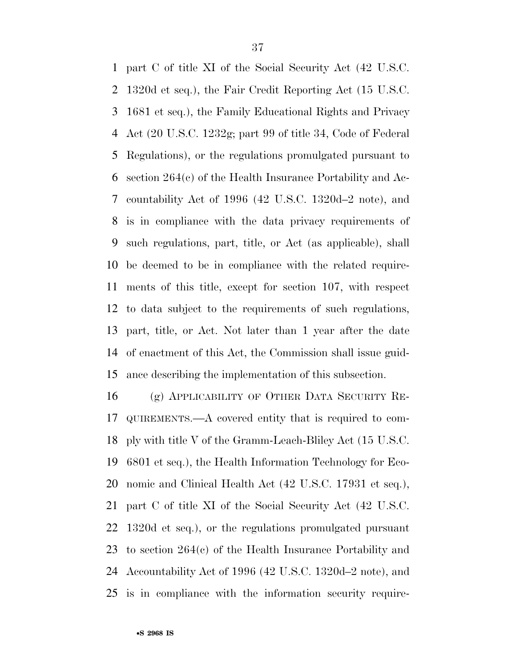part C of title XI of the Social Security Act (42 U.S.C. 1320d et seq.), the Fair Credit Reporting Act (15 U.S.C. 1681 et seq.), the Family Educational Rights and Privacy Act (20 U.S.C. 1232g; part 99 of title 34, Code of Federal Regulations), or the regulations promulgated pursuant to section 264(c) of the Health Insurance Portability and Ac- countability Act of 1996 (42 U.S.C. 1320d–2 note), and is in compliance with the data privacy requirements of such regulations, part, title, or Act (as applicable), shall be deemed to be in compliance with the related require- ments of this title, except for section 107, with respect to data subject to the requirements of such regulations, part, title, or Act. Not later than 1 year after the date of enactment of this Act, the Commission shall issue guid-ance describing the implementation of this subsection.

 (g) APPLICABILITY OF OTHER DATA SECURITY RE- QUIREMENTS.—A covered entity that is required to com- ply with title V of the Gramm-Leach-Bliley Act (15 U.S.C. 6801 et seq.), the Health Information Technology for Eco- nomic and Clinical Health Act (42 U.S.C. 17931 et seq.), part C of title XI of the Social Security Act (42 U.S.C. 1320d et seq.), or the regulations promulgated pursuant to section 264(c) of the Health Insurance Portability and Accountability Act of 1996 (42 U.S.C. 1320d–2 note), and is in compliance with the information security require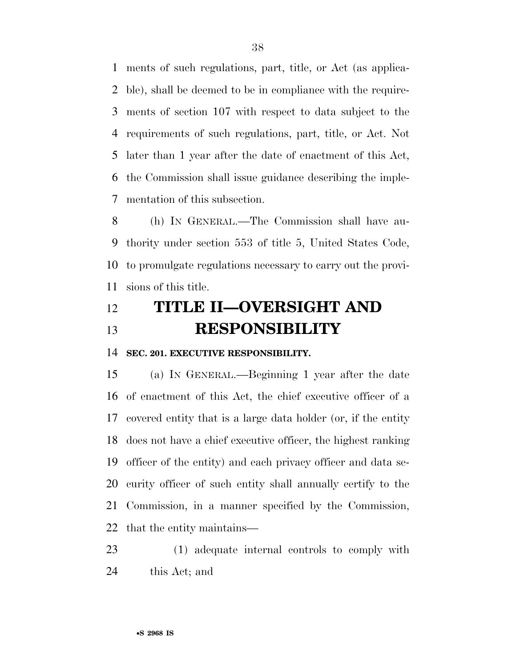ments of such regulations, part, title, or Act (as applica- ble), shall be deemed to be in compliance with the require- ments of section 107 with respect to data subject to the requirements of such regulations, part, title, or Act. Not later than 1 year after the date of enactment of this Act, the Commission shall issue guidance describing the imple-mentation of this subsection.

 (h) IN GENERAL.—The Commission shall have au- thority under section 553 of title 5, United States Code, to promulgate regulations necessary to carry out the provi-sions of this title.

# **TITLE II—OVERSIGHT AND RESPONSIBILITY**

**SEC. 201. EXECUTIVE RESPONSIBILITY.** 

 (a) IN GENERAL.—Beginning 1 year after the date of enactment of this Act, the chief executive officer of a covered entity that is a large data holder (or, if the entity does not have a chief executive officer, the highest ranking officer of the entity) and each privacy officer and data se- curity officer of such entity shall annually certify to the Commission, in a manner specified by the Commission, that the entity maintains—

 (1) adequate internal controls to comply with this Act; and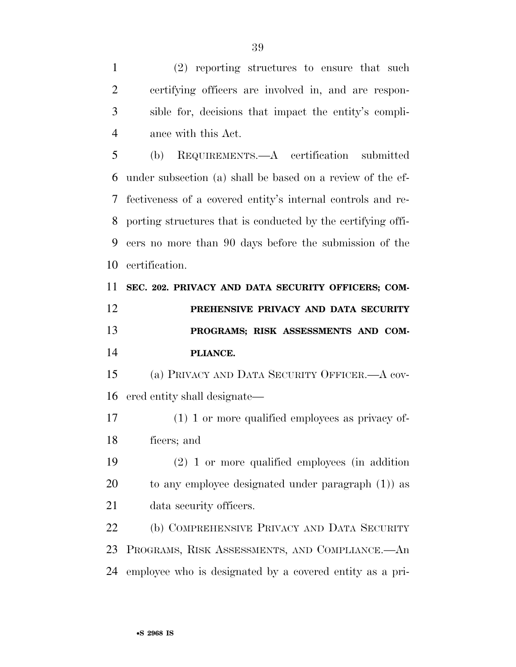(2) reporting structures to ensure that such certifying officers are involved in, and are respon- sible for, decisions that impact the entity's compli-ance with this Act.

 (b) REQUIREMENTS.—A certification submitted under subsection (a) shall be based on a review of the ef- fectiveness of a covered entity's internal controls and re- porting structures that is conducted by the certifying offi- cers no more than 90 days before the submission of the certification.

 **SEC. 202. PRIVACY AND DATA SECURITY OFFICERS; COM- PREHENSIVE PRIVACY AND DATA SECURITY PROGRAMS; RISK ASSESSMENTS AND COM-PLIANCE.** 

 (a) PRIVACY AND DATA SECURITY OFFICER.—A cov-ered entity shall designate—

 (1) 1 or more qualified employees as privacy of-ficers; and

 (2) 1 or more qualified employees (in addition to any employee designated under paragraph (1)) as data security officers.

 (b) COMPREHENSIVE PRIVACY AND DATA SECURITY PROGRAMS, RISK ASSESSMENTS, AND COMPLIANCE.—An employee who is designated by a covered entity as a pri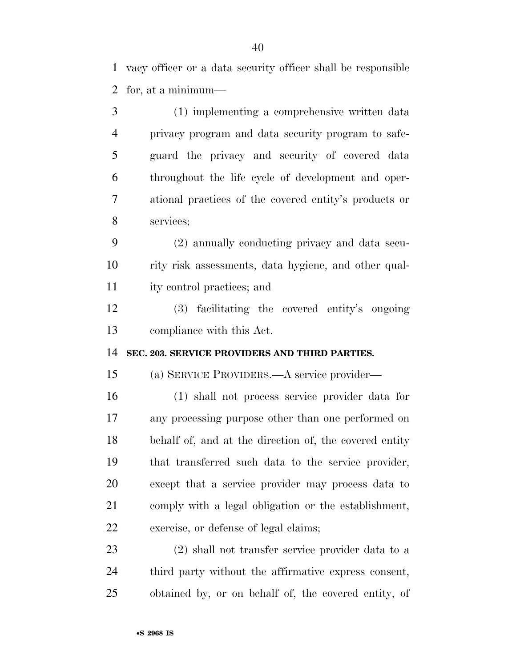vacy officer or a data security officer shall be responsible for, at a minimum—

 (1) implementing a comprehensive written data privacy program and data security program to safe- guard the privacy and security of covered data throughout the life cycle of development and oper- ational practices of the covered entity's products or services;

 (2) annually conducting privacy and data secu- rity risk assessments, data hygiene, and other qual-ity control practices; and

 (3) facilitating the covered entity's ongoing compliance with this Act.

**SEC. 203. SERVICE PROVIDERS AND THIRD PARTIES.** 

(a) SERVICE PROVIDERS.—A service provider—

 (1) shall not process service provider data for any processing purpose other than one performed on behalf of, and at the direction of, the covered entity that transferred such data to the service provider, except that a service provider may process data to comply with a legal obligation or the establishment, exercise, or defense of legal claims;

 (2) shall not transfer service provider data to a third party without the affirmative express consent, obtained by, or on behalf of, the covered entity, of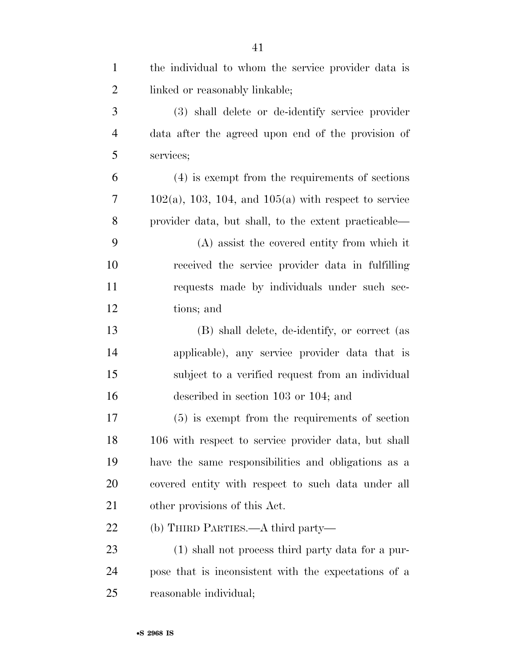| $\mathbf{1}$   | the individual to whom the service provider data is       |
|----------------|-----------------------------------------------------------|
| $\overline{2}$ | linked or reasonably linkable;                            |
| 3              | (3) shall delete or de-identify service provider          |
| $\overline{4}$ | data after the agreed upon end of the provision of        |
| 5              | services;                                                 |
| 6              | $(4)$ is exempt from the requirements of sections         |
| 7              | $102(a)$ , 103, 104, and $105(a)$ with respect to service |
| 8              | provider data, but shall, to the extent practicable—      |
| 9              | (A) assist the covered entity from which it               |
| 10             | received the service provider data in fulfilling          |
| 11             | requests made by individuals under such sec-              |
| 12             | tions; and                                                |
| 13             | (B) shall delete, de-identify, or correct (as             |
| 14             | applicable), any service provider data that is            |
| 15             | subject to a verified request from an individual          |
| 16             | described in section 103 or 104; and                      |
| 17             | $(5)$ is exempt from the requirements of section          |
| 18             | 106 with respect to service provider data, but shall      |
| 19             | have the same responsibilities and obligations as a       |
| 20             | covered entity with respect to such data under all        |
| 21             | other provisions of this Act.                             |
| 22             | (b) THIRD PARTIES.—A third party—                         |
| 23             | (1) shall not process third party data for a pur-         |
| 24             | pose that is inconsistent with the expectations of a      |
| 25             | reasonable individual;                                    |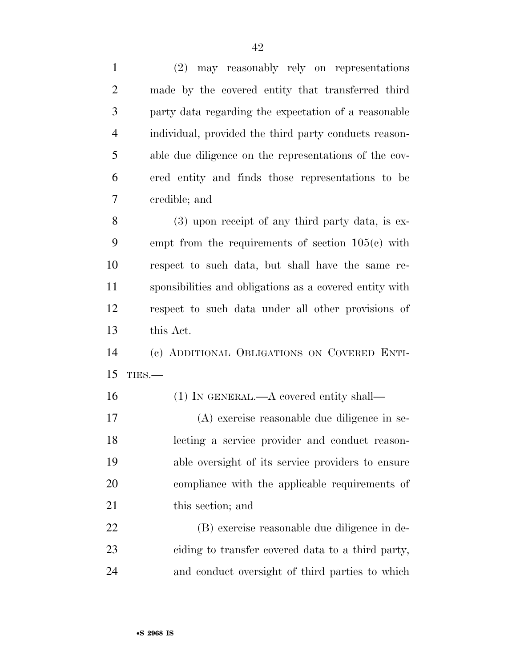| $\mathbf{1}$   | may reasonably rely on representations<br>(2)           |
|----------------|---------------------------------------------------------|
| $\overline{2}$ | made by the covered entity that transferred third       |
| 3              | party data regarding the expectation of a reasonable    |
| $\overline{4}$ | individual, provided the third party conducts reason-   |
| 5              | able due diligence on the representations of the cov-   |
| 6              | ered entity and finds those representations to be       |
| 7              | credible; and                                           |
| 8              | $(3)$ upon receipt of any third party data, is ex-      |
| 9              | empt from the requirements of section $105(e)$ with     |
| 10             | respect to such data, but shall have the same re-       |
| 11             | sponsibilities and obligations as a covered entity with |
| 12             | respect to such data under all other provisions of      |
| 13             | this Act.                                               |
| 14             | (c) ADDITIONAL OBLIGATIONS ON COVERED ENTI-             |
| 15             | TIES.                                                   |
| 16             | $(1)$ In GENERAL.—A covered entity shall—               |
| 17             | (A) exercise reasonable due diligence in se-            |
| 18             | lecting a service provider and conduct reason-          |
| 19             | able oversight of its service providers to ensure       |
| 20             | compliance with the applicable requirements of          |
| 21             | this section; and                                       |
| 22             | (B) exercise reasonable due diligence in de-            |
| 23             | ciding to transfer covered data to a third party,       |
| 24             | and conduct oversight of third parties to which         |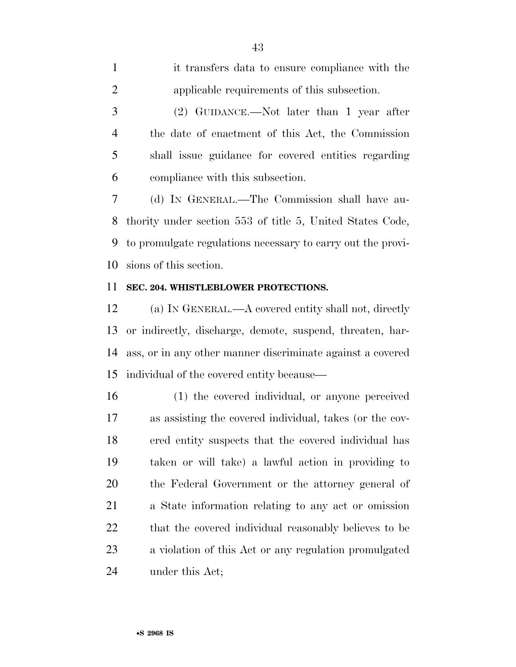| $\mathbf{1}$   | it transfers data to ensure compliance with the     |
|----------------|-----------------------------------------------------|
| 2              | applicable requirements of this subsection.         |
| 3              | $(2)$ GUIDANCE.—Not later than 1 year after         |
| $\overline{4}$ | the date of enactment of this Act, the Commission   |
| 5              | shall issue guidance for covered entities regarding |
| 6              | compliance with this subsection.                    |
| 7              | (d) IN GENERAL.—The Commission shall have au-       |
|                |                                                     |

 thority under section 553 of title 5, United States Code, to promulgate regulations necessary to carry out the provi-sions of this section.

### **SEC. 204. WHISTLEBLOWER PROTECTIONS.**

 (a) IN GENERAL.—A covered entity shall not, directly or indirectly, discharge, demote, suspend, threaten, har- ass, or in any other manner discriminate against a covered individual of the covered entity because—

 (1) the covered individual, or anyone perceived as assisting the covered individual, takes (or the cov- ered entity suspects that the covered individual has taken or will take) a lawful action in providing to the Federal Government or the attorney general of a State information relating to any act or omission 22 that the covered individual reasonably believes to be a violation of this Act or any regulation promulgated under this Act;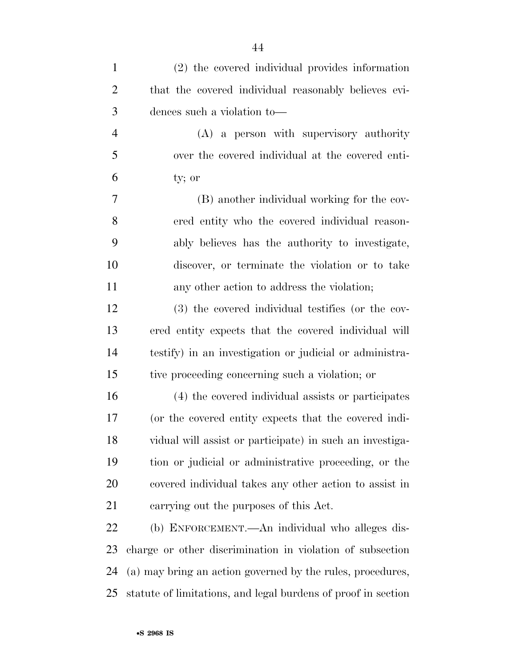| $\mathbf{1}$   | (2) the covered individual provides information               |
|----------------|---------------------------------------------------------------|
| $\overline{2}$ | that the covered individual reasonably believes evi-          |
| 3              | dences such a violation to-                                   |
| $\overline{4}$ | (A) a person with supervisory authority                       |
| 5              | over the covered individual at the covered enti-              |
| 6              | ty; or                                                        |
| 7              | (B) another individual working for the cov-                   |
| 8              | ered entity who the covered individual reason-                |
| 9              | ably believes has the authority to investigate,               |
| 10             | discover, or terminate the violation or to take               |
| 11             | any other action to address the violation;                    |
| 12             | (3) the covered individual testifies (or the cov-             |
| 13             | ered entity expects that the covered individual will          |
| 14             | testify) in an investigation or judicial or administra-       |
| 15             | tive proceeding concerning such a violation; or               |
| 16             | (4) the covered individual assists or participates            |
| 17             | (or the covered entity expects that the covered indi-         |
| 18             | vidual will assist or participate) in such an investiga-      |
| 19             | tion or judicial or administrative proceeding, or the         |
| 20             | covered individual takes any other action to assist in        |
| 21             | carrying out the purposes of this Act.                        |
| 22             | (b) ENFORCEMENT.—An individual who alleges dis-               |
| 23             | charge or other discrimination in violation of subsection     |
| 24             | (a) may bring an action governed by the rules, procedures,    |
| 25             | statute of limitations, and legal burdens of proof in section |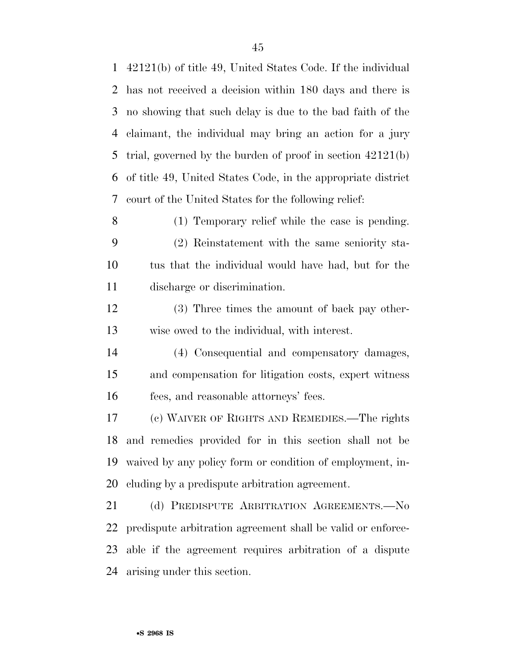42121(b) of title 49, United States Code. If the individual has not received a decision within 180 days and there is no showing that such delay is due to the bad faith of the claimant, the individual may bring an action for a jury trial, governed by the burden of proof in section 42121(b) of title 49, United States Code, in the appropriate district court of the United States for the following relief: (1) Temporary relief while the case is pending. (2) Reinstatement with the same seniority sta- tus that the individual would have had, but for the discharge or discrimination. (3) Three times the amount of back pay other- wise owed to the individual, with interest. (4) Consequential and compensatory damages, and compensation for litigation costs, expert witness fees, and reasonable attorneys' fees. (c) WAIVER OF RIGHTS AND REMEDIES.—The rights and remedies provided for in this section shall not be waived by any policy form or condition of employment, in- cluding by a predispute arbitration agreement. 21 (d) PREDISPUTE ARBITRATION AGREEMENTS. No predispute arbitration agreement shall be valid or enforce- able if the agreement requires arbitration of a dispute arising under this section.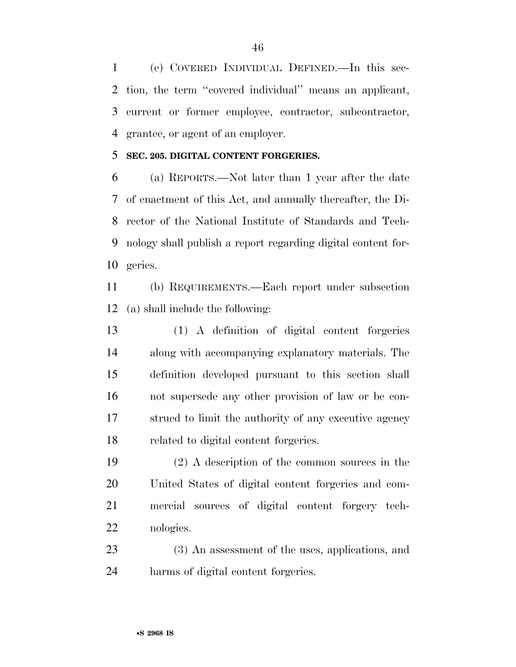(e) COVERED INDIVIDUAL DEFINED.—In this sec- tion, the term ''covered individual'' means an applicant, current or former employee, contractor, subcontractor, grantee, or agent of an employer.

### **SEC. 205. DIGITAL CONTENT FORGERIES.**

 (a) REPORTS.—Not later than 1 year after the date of enactment of this Act, and annually thereafter, the Di- rector of the National Institute of Standards and Tech- nology shall publish a report regarding digital content for-geries.

 (b) REQUIREMENTS.—Each report under subsection (a) shall include the following:

 (1) A definition of digital content forgeries along with accompanying explanatory materials. The definition developed pursuant to this section shall not supersede any other provision of law or be con- strued to limit the authority of any executive agency related to digital content forgeries.

 (2) A description of the common sources in the United States of digital content forgeries and com- mercial sources of digital content forgery tech-nologies.

 (3) An assessment of the uses, applications, and harms of digital content forgeries.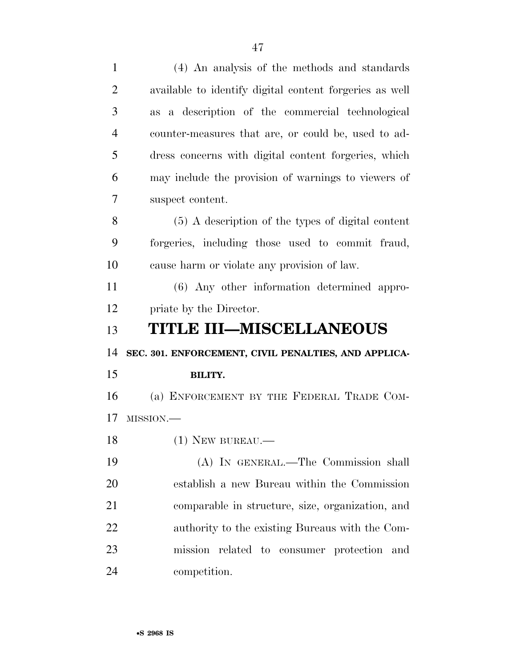| $\mathbf{1}$   | (4) An analysis of the methods and standards            |
|----------------|---------------------------------------------------------|
| $\overline{2}$ | available to identify digital content forgeries as well |
| 3              | as a description of the commercial technological        |
| $\overline{4}$ | counter-measures that are, or could be, used to ad-     |
| 5              | dress concerns with digital content forgeries, which    |
| 6              | may include the provision of warnings to viewers of     |
| 7              | suspect content.                                        |
| 8              | $(5)$ A description of the types of digital content     |
| 9              | forgeries, including those used to commit fraud,        |
| 10             | cause harm or violate any provision of law.             |
| 11             | (6) Any other information determined appro-             |
| 12             | priate by the Director.                                 |
|                |                                                         |
|                | TITLE III–MISCELLANEOUS                                 |
| 13<br>14       | SEC. 301. ENFORCEMENT, CIVIL PENALTIES, AND APPLICA-    |
| 15             | <b>BILITY.</b>                                          |
| 16             | (a) ENFORCEMENT BY THE FEDERAL TRADE COM-               |
| 17             | MISSION.-                                               |
| 18             | $(1)$ NEW BUREAU.—                                      |
| 19             | (A) IN GENERAL.—The Commission shall                    |
| 20             | establish a new Bureau within the Commission            |
| 21             | comparable in structure, size, organization, and        |
| 22             | authority to the existing Bureaus with the Com-         |
| 23             | mission related to consumer protection<br>and           |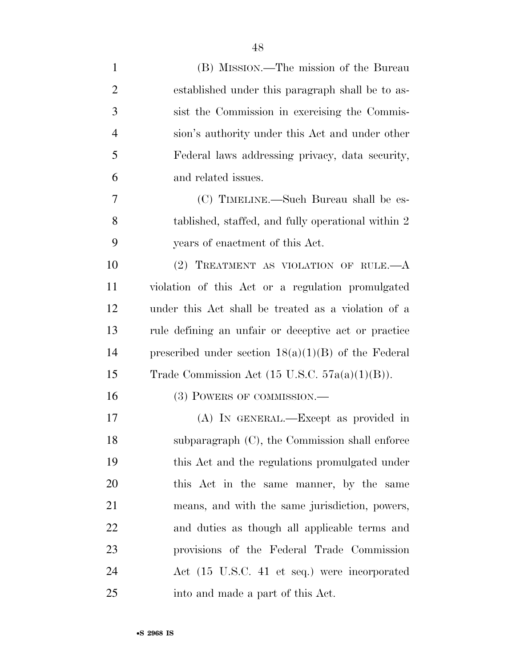| $\mathbf{1}$   | (B) MISSION.—The mission of the Bureau                    |
|----------------|-----------------------------------------------------------|
| $\overline{2}$ | established under this paragraph shall be to as-          |
| 3              | sist the Commission in exercising the Commis-             |
| $\overline{4}$ | sion's authority under this Act and under other           |
| 5              | Federal laws addressing privacy, data security,           |
| 6              | and related issues.                                       |
| 7              | (C) TIMELINE.—Such Bureau shall be es-                    |
| 8              | tablished, staffed, and fully operational within 2        |
| 9              | years of enactment of this Act.                           |
| 10             | (2) TREATMENT AS VIOLATION OF RULE. $-A$                  |
| 11             | violation of this Act or a regulation promulgated         |
| 12             | under this Act shall be treated as a violation of a       |
| 13             | rule defining an unfair or deceptive act or practice      |
| 14             | prescribed under section $18(a)(1)(B)$ of the Federal     |
| 15             | Trade Commission Act $(15 \text{ U.S.C. } 57a(a)(1)(B)).$ |
| 16             | (3) POWERS OF COMMISSION.—                                |
| 17             | (A) IN GENERAL.—Except as provided in                     |
| 18             | subparagraph (C), the Commission shall enforce            |
| 19             | this Act and the regulations promulgated under            |
| 20             | this Act in the same manner, by the same                  |
| 21             | means, and with the same jurisdiction, powers,            |
| 22             | and duties as though all applicable terms and             |
| 23             | provisions of the Federal Trade Commission                |
| 24             | Act (15 U.S.C. 41 et seq.) were incorporated              |
| 25             | into and made a part of this Act.                         |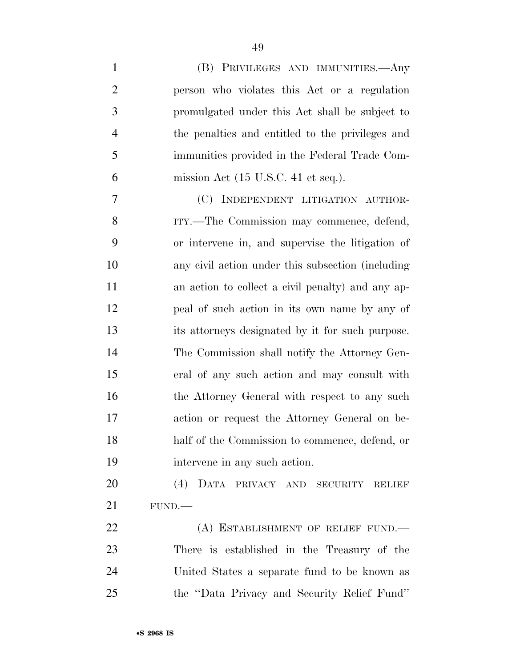| $\mathbf{1}$   | (B) PRIVILEGES AND IMMUNITIES.—Any                     |
|----------------|--------------------------------------------------------|
| $\overline{2}$ | person who violates this Act or a regulation           |
| 3              | promulgated under this Act shall be subject to         |
| $\overline{4}$ | the penalties and entitled to the privileges and       |
| 5              | immunities provided in the Federal Trade Com-          |
| 6              | mission Act $(15 \text{ U.S.C. } 41 \text{ et seq.}).$ |
| 7              | (C) INDEPENDENT LITIGATION AUTHOR-                     |
| 8              | ITY.—The Commission may commence, defend,              |
| 9              | or intervene in, and supervise the litigation of       |
| 10             | any civil action under this subsection (including      |
| 11             | an action to collect a civil penalty) and any ap-      |
| 12             | peal of such action in its own name by any of          |
| 13             | its attorneys designated by it for such purpose.       |
| 14             | The Commission shall notify the Attorney Gen-          |
| 15             | eral of any such action and may consult with           |
| 16             | the Attorney General with respect to any such          |
| 17             | action or request the Attorney General on be-          |
| 18             | half of the Commission to commence, defend, or         |
| 19             | intervene in any such action.                          |
| 20             | (4) DATA PRIVACY AND SECURITY RELIEF                   |
| 21             | FUND.                                                  |
| 22             | (A) ESTABLISHMENT OF RELIEF FUND.                      |
| 23             | There is established in the Treasury of the            |
| 24             | United States a separate fund to be known as           |
| 25             | the "Data Privacy and Security Relief Fund"            |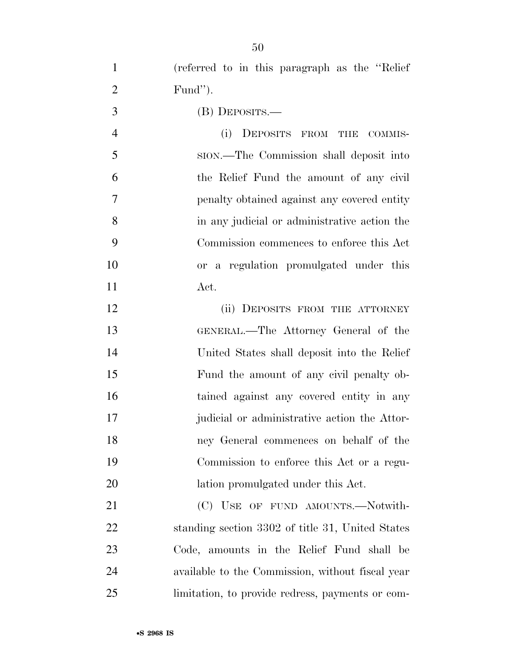(referred to in this paragraph as the ''Relief Fund'').

(B) DEPOSITS.—

 (i) DEPOSITS FROM THE COMMIS- SION.—The Commission shall deposit into the Relief Fund the amount of any civil penalty obtained against any covered entity in any judicial or administrative action the Commission commences to enforce this Act or a regulation promulgated under this Act.

12 (ii) DEPOSITS FROM THE ATTORNEY GENERAL.—The Attorney General of the United States shall deposit into the Relief Fund the amount of any civil penalty ob- tained against any covered entity in any judicial or administrative action the Attor- ney General commences on behalf of the Commission to enforce this Act or a regu-20 lation promulgated under this Act.

21 (C) USE OF FUND AMOUNTS.—Notwith- standing section 3302 of title 31, United States Code, amounts in the Relief Fund shall be available to the Commission, without fiscal year limitation, to provide redress, payments or com-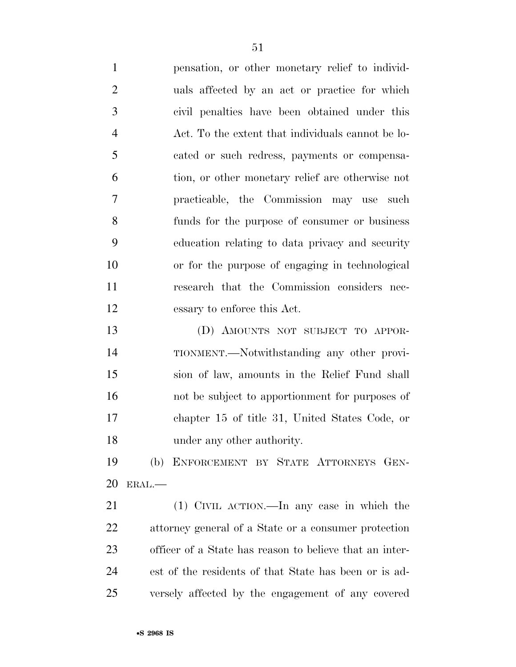pensation, or other monetary relief to individ- uals affected by an act or practice for which civil penalties have been obtained under this Act. To the extent that individuals cannot be lo- cated or such redress, payments or compensa- tion, or other monetary relief are otherwise not practicable, the Commission may use such funds for the purpose of consumer or business education relating to data privacy and security or for the purpose of engaging in technological research that the Commission considers nec-essary to enforce this Act.

 (D) AMOUNTS NOT SUBJECT TO APPOR- TIONMENT.—Notwithstanding any other provi- sion of law, amounts in the Relief Fund shall not be subject to apportionment for purposes of chapter 15 of title 31, United States Code, or under any other authority.

 (b) ENFORCEMENT BY STATE ATTORNEYS GEN-ERAL.—

 (1) CIVIL ACTION.—In any case in which the attorney general of a State or a consumer protection officer of a State has reason to believe that an inter- est of the residents of that State has been or is ad-versely affected by the engagement of any covered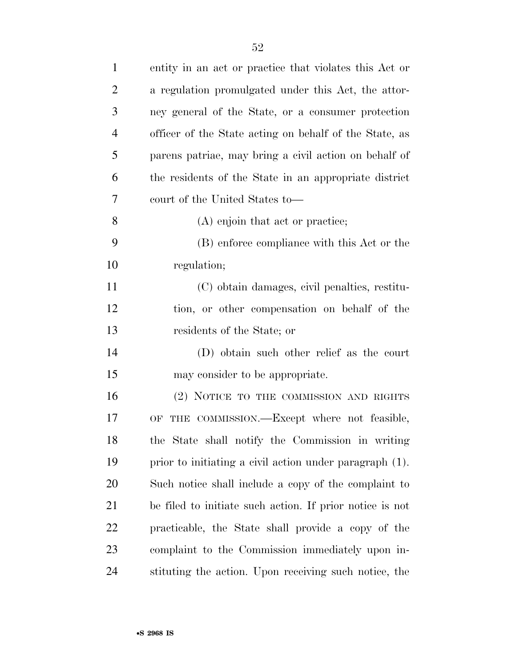| $\mathbf{1}$   | entity in an act or practice that violates this Act or   |
|----------------|----------------------------------------------------------|
| $\overline{2}$ | a regulation promulgated under this Act, the attor-      |
| 3              | ney general of the State, or a consumer protection       |
| $\overline{4}$ | officer of the State acting on behalf of the State, as   |
| 5              | parens patriae, may bring a civil action on behalf of    |
| 6              | the residents of the State in an appropriate district    |
| 7              | court of the United States to-                           |
| 8              | (A) enjoin that act or practice;                         |
| 9              | (B) enforce compliance with this Act or the              |
| 10             | regulation;                                              |
| 11             | (C) obtain damages, civil penalties, restitu-            |
| 12             | tion, or other compensation on behalf of the             |
| 13             | residents of the State; or                               |
| 14             | (D) obtain such other relief as the court                |
| 15             | may consider to be appropriate.                          |
| 16             | (2) NOTICE TO THE COMMISSION AND RIGHTS                  |
| 17             | OF THE COMMISSION. - Except where not feasible,          |
| 18             | the State shall notify the Commission in writing         |
| 19             | prior to initiating a civil action under paragraph (1).  |
| 20             | Such notice shall include a copy of the complaint to     |
| 21             | be filed to initiate such action. If prior notice is not |
| 22             | practicable, the State shall provide a copy of the       |
| 23             | complaint to the Commission immediately upon in-         |
| 24             | stituting the action. Upon receiving such notice, the    |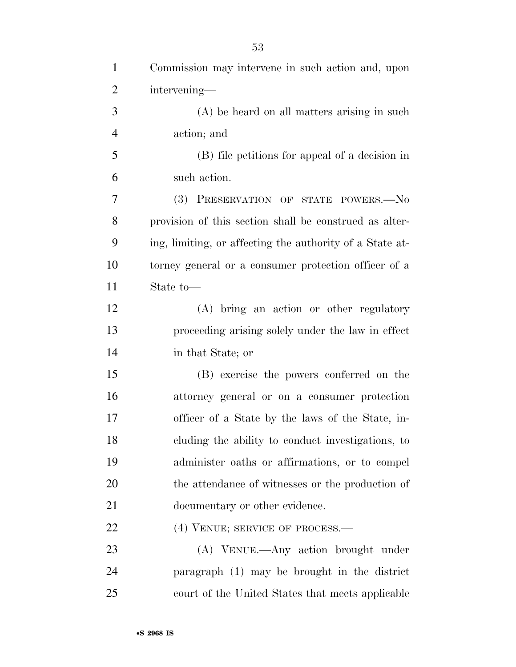| $\mathbf{1}$   | Commission may intervene in such action and, upon        |
|----------------|----------------------------------------------------------|
| $\overline{2}$ | intervening-                                             |
| 3              | (A) be heard on all matters arising in such              |
| $\overline{4}$ | action; and                                              |
| 5              | (B) file petitions for appeal of a decision in           |
| 6              | such action.                                             |
| 7              | <b>(3)</b><br>PRESERVATION OF STATE POWERS.-No           |
| 8              | provision of this section shall be construed as alter-   |
| 9              | ing, limiting, or affecting the authority of a State at- |
| 10             | torney general or a consumer protection officer of a     |
| 11             | State to-                                                |
| 12             | (A) bring an action or other regulatory                  |
| 13             | proceeding arising solely under the law in effect        |
| 14             | in that State; or                                        |
| 15             | (B) exercise the powers conferred on the                 |
| 16             | attorney general or on a consumer protection             |
| 17             | officer of a State by the laws of the State, in-         |
| 18             | cluding the ability to conduct investigations, to        |
| 19             | administer oaths or affirmations, or to compel           |
| 20             | the attendance of witnesses or the production of         |
| 21             | documentary or other evidence.                           |
| 22             | (4) VENUE; SERVICE OF PROCESS.—                          |
| 23             | (A) VENUE.—Any action brought under                      |
| 24             | paragraph (1) may be brought in the district             |
| 25             | court of the United States that meets applicable         |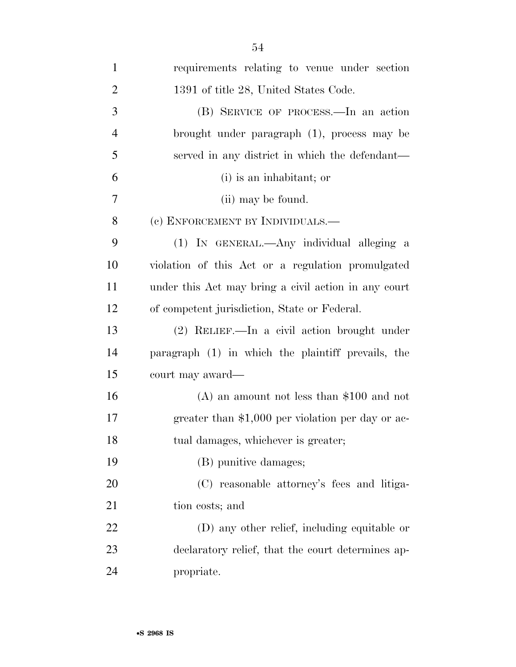| $\mathbf{1}$   | requirements relating to venue under section         |
|----------------|------------------------------------------------------|
| $\overline{2}$ | 1391 of title 28, United States Code.                |
| 3              | (B) SERVICE OF PROCESS.—In an action                 |
| $\overline{4}$ | brought under paragraph (1), process may be          |
| 5              | served in any district in which the defendant—       |
| 6              | (i) is an inhabitant; or                             |
| 7              | (ii) may be found.                                   |
| 8              | (c) ENFORCEMENT BY INDIVIDUALS.—                     |
| 9              | (1) IN GENERAL.—Any individual alleging a            |
| 10             | violation of this Act or a regulation promulgated    |
| 11             | under this Act may bring a civil action in any court |
| 12             | of competent jurisdiction, State or Federal.         |
| 13             | $(2)$ RELIEF.—In a civil action brought under        |
| 14             | paragraph (1) in which the plaintiff prevails, the   |
| 15             | court may award—                                     |
| 16             | $(A)$ an amount not less than \$100 and not          |
| 17             | greater than \$1,000 per violation per day or ac-    |
| 18             | tual damages, whichever is greater;                  |
| 19             | (B) punitive damages;                                |
| 20             | (C) reasonable attorney's fees and litiga-           |
| 21             | tion costs; and                                      |
| 22             | (D) any other relief, including equitable or         |
| 23             | declaratory relief, that the court determines ap-    |
| 24             | propriate.                                           |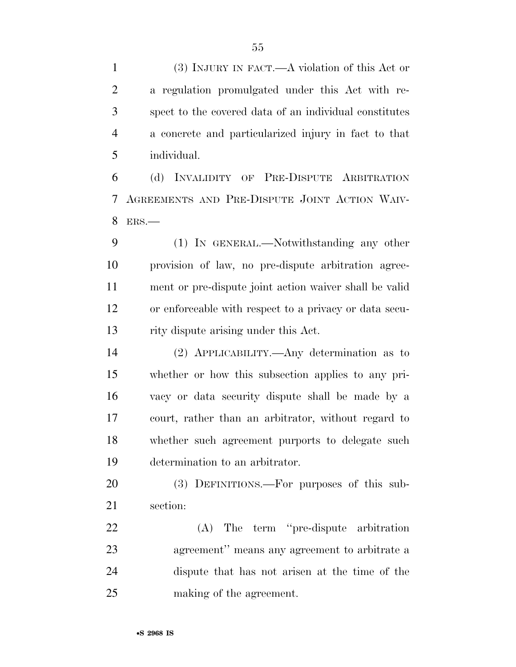(3) INJURY IN FACT.—A violation of this Act or a regulation promulgated under this Act with re- spect to the covered data of an individual constitutes a concrete and particularized injury in fact to that individual.

 (d) INVALIDITY OF PRE-DISPUTE ARBITRATION AGREEMENTS AND PRE-DISPUTE JOINT ACTION WAIV-ERS.—

 (1) IN GENERAL.—Notwithstanding any other provision of law, no pre-dispute arbitration agree- ment or pre-dispute joint action waiver shall be valid or enforceable with respect to a privacy or data secu-rity dispute arising under this Act.

 (2) APPLICABILITY.—Any determination as to whether or how this subsection applies to any pri- vacy or data security dispute shall be made by a court, rather than an arbitrator, without regard to whether such agreement purports to delegate such determination to an arbitrator.

 (3) DEFINITIONS.—For purposes of this sub-section:

 (A) The term ''pre-dispute arbitration agreement'' means any agreement to arbitrate a dispute that has not arisen at the time of the making of the agreement.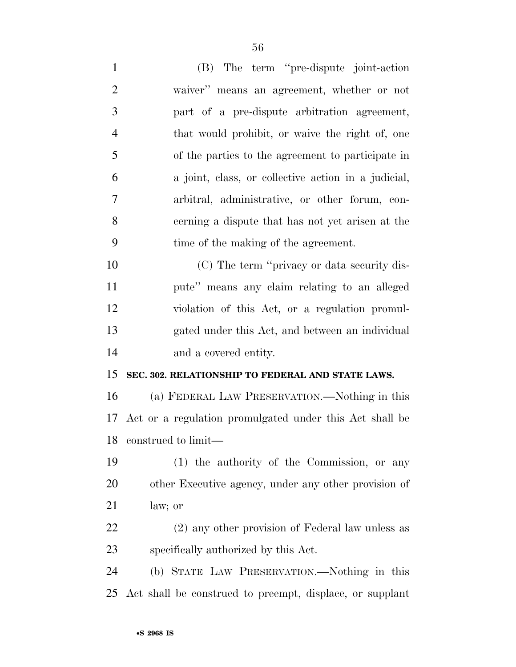(B) The term ''pre-dispute joint-action waiver'' means an agreement, whether or not part of a pre-dispute arbitration agreement, that would prohibit, or waive the right of, one of the parties to the agreement to participate in a joint, class, or collective action in a judicial, arbitral, administrative, or other forum, con- cerning a dispute that has not yet arisen at the time of the making of the agreement. (C) The term ''privacy or data security dis- pute'' means any claim relating to an alleged violation of this Act, or a regulation promul- gated under this Act, and between an individual and a covered entity. **SEC. 302. RELATIONSHIP TO FEDERAL AND STATE LAWS.**  (a) FEDERAL LAW PRESERVATION.—Nothing in this Act or a regulation promulgated under this Act shall be construed to limit— (1) the authority of the Commission, or any

 other Executive agency, under any other provision of law; or

 (2) any other provision of Federal law unless as specifically authorized by this Act.

 (b) STATE LAW PRESERVATION.—Nothing in this Act shall be construed to preempt, displace, or supplant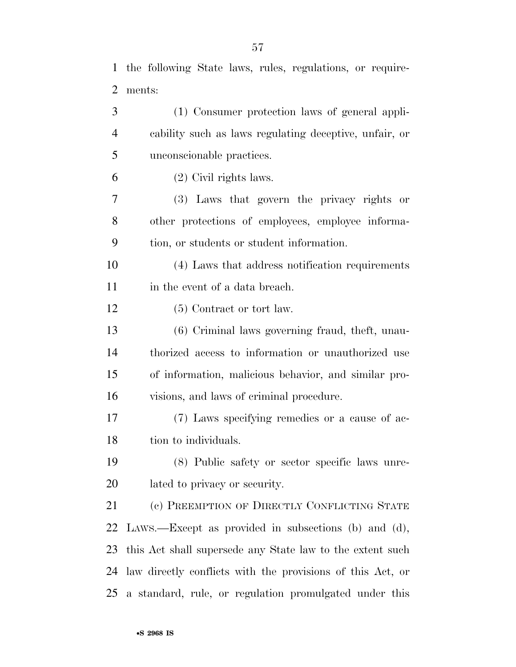the following State laws, rules, regulations, or require-

 ments: (1) Consumer protection laws of general appli- cability such as laws regulating deceptive, unfair, or unconscionable practices. (2) Civil rights laws. (3) Laws that govern the privacy rights or other protections of employees, employee informa- tion, or students or student information. (4) Laws that address notification requirements in the event of a data breach. 12 (5) Contract or tort law.

 (6) Criminal laws governing fraud, theft, unau- thorized access to information or unauthorized use of information, malicious behavior, and similar pro-visions, and laws of criminal procedure.

 (7) Laws specifying remedies or a cause of ac-18 tion to individuals.

 (8) Public safety or sector specific laws unre-lated to privacy or security.

21 (c) PREEMPTION OF DIRECTLY CONFLICTING STATE LAWS.—Except as provided in subsections (b) and (d), this Act shall supersede any State law to the extent such law directly conflicts with the provisions of this Act, or a standard, rule, or regulation promulgated under this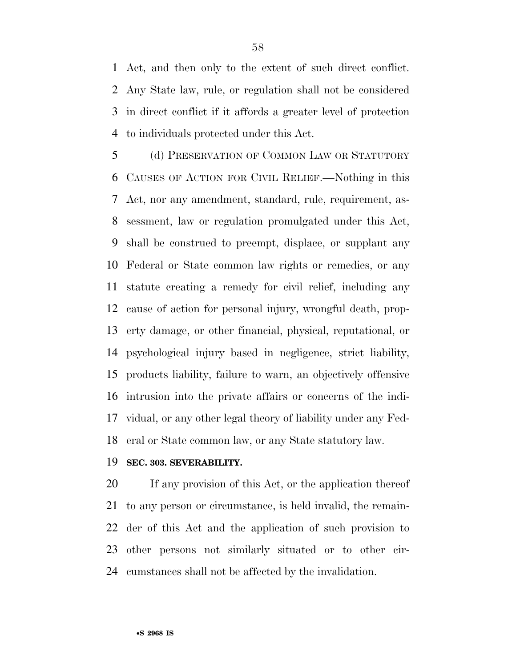Act, and then only to the extent of such direct conflict. Any State law, rule, or regulation shall not be considered in direct conflict if it affords a greater level of protection to individuals protected under this Act.

 (d) PRESERVATION OF COMMON LAW OR STATUTORY CAUSES OF ACTION FOR CIVIL RELIEF.—Nothing in this Act, nor any amendment, standard, rule, requirement, as- sessment, law or regulation promulgated under this Act, shall be construed to preempt, displace, or supplant any Federal or State common law rights or remedies, or any statute creating a remedy for civil relief, including any cause of action for personal injury, wrongful death, prop- erty damage, or other financial, physical, reputational, or psychological injury based in negligence, strict liability, products liability, failure to warn, an objectively offensive intrusion into the private affairs or concerns of the indi- vidual, or any other legal theory of liability under any Fed-eral or State common law, or any State statutory law.

#### **SEC. 303. SEVERABILITY.**

 If any provision of this Act, or the application thereof to any person or circumstance, is held invalid, the remain- der of this Act and the application of such provision to other persons not similarly situated or to other cir-cumstances shall not be affected by the invalidation.